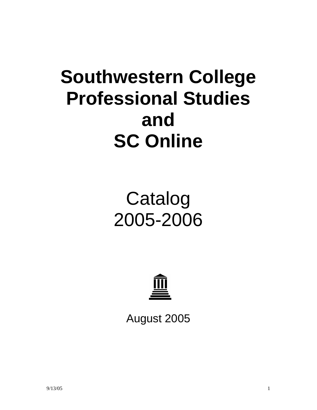# **Southwestern College Professional Studies and SC Online**

# Catalog 2005-2006



August 2005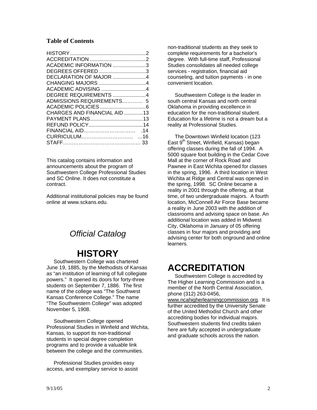#### **Table of Contents**

| ACADEMIC INFORMATION 3       |  |
|------------------------------|--|
| DEGREES OFFERED3             |  |
| DECLARATION OF MAJOR 4       |  |
|                              |  |
| ACADEMIC ADVISING 4          |  |
| DEGREE REQUIREMENTS 4        |  |
| ADMISSIONS REQUIREMENTS 5    |  |
|                              |  |
| CHARGES AND FINANCIAL AID 13 |  |
|                              |  |
|                              |  |
|                              |  |
|                              |  |
|                              |  |

This catalog contains information and announcements about the program of Southwestern College Professional Studies and SC Online. It does not constitute a contract.

Additional institutional policies may be found online at www.sckans.edu.

### *Official Catalog*

### **HISTORY**

 Southwestern College was chartered June 19, 1885, by the Methodists of Kansas as "an institution of learning of full collegiate powers." It opened its doors for forty-three students on September 7, 1886. The first name of the college was "The Southwest Kansas Conference College." The name "The Southwestern College" was adopted November 5, 1908.

 Southwestern College opened Professional Studies in Winfield and Wichita, Kansas, to support its non-traditional students in special degree completion programs and to provide a valuable link between the college and the communities.

 Professional Studies provides easy access, and exemplary service to assist non-traditional students as they seek to complete requirements for a bachelor's degree. With full-time staff, Professional Studies consolidates all needed college services - registration, financial aid counseling, and tuition payments - in one convenient location.

 Southwestern College is the leader in south central Kansas and north central Oklahoma in providing excellence in education for the non-traditional student. Education for a lifetime is not a dream but a reality at Professional Studies.

 The Downtown Winfield location (123 East 9<sup>th</sup> Street, Winfield, Kansas) began offering classes during the fall of 1994. A 5000 square foot building in the Cedar Cove Mall at the corner of Rock Road and Pawnee in East Wichita opened for classes in the spring, 1996. A third location in West Wichita at Ridge and Central was opened in the spring, 1998. SC Online became a reality in 2001 through the offering, at that time, of two undergraduate majors. A fourth location, McConnell Air Force Base became a reality in June 2003 with the addition of classrooms and advising space on base. An additional location was added in Midwest City, Oklahoma in January of 05 offering classes in four majors and providing and advising center for both onground and online learners.

## **ACCREDITATION**

 Southwestern College is accredited by The Higher Learning Commission and is a member of the North Central Association, phone (312) 263-0456,

www.ncahigherlearningcommission.org. It is further accredited by the University Senate of the United Methodist Church and other accrediting bodies for individual majors. Southwestern students find credits taken here are fully accepted in undergraduate and graduate schools across the nation.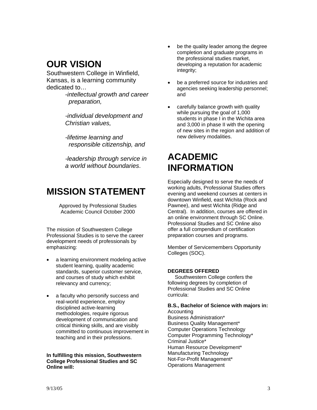## **OUR VISION**

Southwestern College in Winfield, Kansas, is a learning community dedicated to…

> -*intellectual growth and career preparation,*

*-individual development and Christian values,* 

 *-lifetime learning and responsible citizenship, and* 

*-leadership through service in a world without boundaries*.

### **MISSION STATEMENT**

Approved by Professional Studies Academic Council October 2000

The mission of Southwestern College Professional Studies is to serve the career development needs of professionals by emphasizing:

- a learning environment modeling active student learning, quality academic standards, superior customer service, and courses of study which exhibit relevancy and currency;
- a faculty who personify success and real-world experience, employ disciplined active-learning methodologies, require rigorous development of communication and critical thinking skills, and are visibly committed to continuous improvement in teaching and in their professions.

**In fulfilling this mission, Southwestern College Professional Studies and SC Online will:** 

- be the quality leader among the degree completion and graduate programs in the professional studies market, developing a reputation for academic integrity;
- be a preferred source for industries and agencies seeking leadership personnel; and
- carefully balance growth with quality while pursuing the goal of 1,000 students in phase I in the Wichita area and 3,000 in phase II with the opening of new sites in the region and addition of new delivery modalities.

# **ACADEMIC INFORMATION**

Especially designed to serve the needs of working adults, Professional Studies offers evening and weekend courses at centers in downtown Winfield, east Wichita (Rock and Pawnee), and west Wichita (Ridge and Central). In addition, courses are offered in an online environment through SC Online. Professional Studies and SC Online also offer a full compendium of certification preparation courses and programs.

Member of Servicemembers Opportunity Colleges (SOC).

#### **DEGREES OFFERED**

 Southwestern College confers the following degrees by completion of Professional Studies and SC Online curricula:

**B.S., Bachelor of Science with majors in:**  Accounting Business Administration\* Business Quality Management\* Computer Operations Technology Computer Programming Technology\* Criminal Justice\* Human Resource Development\* Manufacturing Technology Not-For-Profit Management\* Operations Management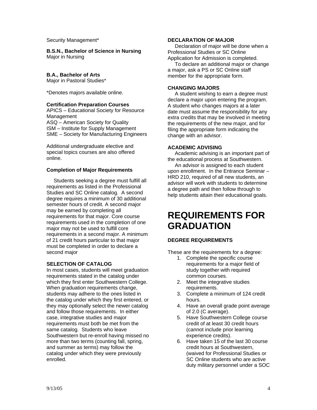Security Management\*

**B.S.N., Bachelor of Science in Nursing**  Major in Nursing

#### **B.A., Bachelor of Arts**

Major in Pastoral Studies\*

\*Denotes majors available online.

#### **Certification Preparation Courses**

APICS – Educational Society for Resource Management ASQ – American Society for Quality ISM – Institute for Supply Management SME – Society for Manufacturing Engineers

Additional undergraduate elective and special topics courses are also offered online.

#### **Completion of Major Requirements**

 Students seeking a degree must fulfill all requirements as listed in the Professional Studies and SC Online catalog. A second degree requires a minimum of 30 additional semester hours of credit. A second major may be earned by completing all requirements for that major. Core course requirements used in the completion of one major may not be used to fulfill core requirements in a second major. A minimum of 21 credit hours particular to that major must be completed in order to declare a second major

#### **SELECTION OF CATALOG**

In most cases, students will meet graduation requirements stated in the catalog under which they first enter Southwestern College. When graduation requirements change, students may adhere to the ones listed in the catalog under which they first entered, or they may optionally select the newer catalog and follow those requirements. In either case, integrative studies and major requirements must both be met from the same catalog. Students who leave Southwestern but re-enroll having missed no more than two terms (counting fall, spring, and summer as terms) may follow the catalog under which they were previously enrolled.

#### **DECLARATION OF MAJOR**

 Declaration of major will be done when a Professional Studies or SC Online Application for Admission is completed.

 To declare an additional major or change a major, ask a PS or SC Online staff member for the appropriate form.

#### **CHANGING MAJORS**

 A student wishing to earn a degree must declare a major upon entering the program. A student who changes majors at a later date must assume the responsibility for any extra credits that may be involved in meeting the requirements of the new major, and for filing the appropriate form indicating the change with an advisor.

#### **ACADEMIC ADVISING**

 Academic advising is an important part of the educational process at Southwestern.

 An advisor is assigned to each student upon enrollment. In the Entrance Seminar – HRD 210, required of all new students, an advisor will work with students to determine a degree path and then follow through to help students attain their educational goals.

# **REQUIREMENTS FOR GRADUATION**

#### **DEGREE REQUIREMENTS**

These are the requirements for a degree:

- 1. Complete the specific course requirements for a major field of study together with required common courses.
- 2. Meet the integrative studies requirements.
- 3. Complete a minimum of 124 credit hours.
- 4. Have an overall grade point average of 2.0 (C average).
- 5. Have Southwestern College course credit of at least 30 credit hours (cannot include prior learning experience credits).
- 6. Have taken 15 of the last 30 course credit hours at Southwestern, (waived for Professional Studies or SC Online students who are active duty military personnel under a SOC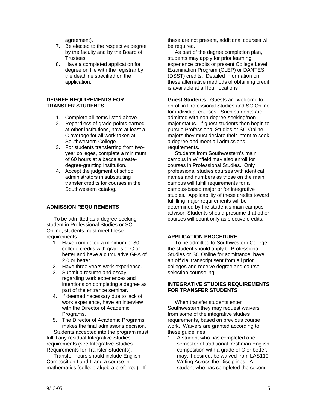agreement).

- 7. Be elected to the respective degree by the faculty and by the Board of Trustees.
- 8. Have a completed application for degree on file with the registrar by the deadline specified on the application.

#### **DEGREE REQUIREMENTS FOR TRANSFER STUDENTS**

- 1. Complete all items listed above.
- 2. Regardless of grade points earned at other institutions, have at least a C average for all work taken at Southwestern College.
- 3. For students transferring from twoyear colleges, complete a minimum of 60 hours at a baccalaureatedegree-granting institution.
- 4. Accept the judgment of school administrators in substituting transfer credits for courses in the Southwestern catalog.

#### **ADMISSION REQUIREMENTS**

 To be admitted as a degree-seeking student in Professional Studies or SC Online, students must meet these requirements:

- 1. Have completed a minimum of 30 college credits with grades of C or better and have a cumulative GPA of 2.0 or better.
- 2. Have three years work experience.
- 3. Submit a resume and essay regarding work experiences and intentions on completing a degree as part of the entrance seminar.
- 4. If deemed necessary due to lack of work experience, have an interview with the Director of Academic Programs.
- 5. The Director of Academic Programs makes the final admissions decision.

 Students accepted into the program must fulfill any residual Integrative Studies requirements (see Integrative Studies Requirements for Transfer Students).

 Transfer hours should include English Composition I and II and a course in mathematics (college algebra preferred). If these are not present, additional courses will be required.

 As part of the degree completion plan, students may apply for prior learning experience credits or present College Level Examination Program (CLEP) or DANTES (DSST) credits. Detailed information on these alternative methods of obtaining credit is available at all four locations

**Guest Students.** Guests are welcome to enroll in Professional Studies and SC Online for individual courses. Such students are admitted with non-degree-seeking/nonmajor status. If guest students then begin to pursue Professional Studies or SC Online majors they must declare their intent to seek a degree and meet all admissions requirements.

 Students from Southwestern's main campus in Winfield may also enroll for courses in Professional Studies. Only professional studies courses with identical names and numbers as those on the main campus will fulfill requirements for a campus-based major or for integrative studies. Applicability of these credits toward fulfilling major requirements will be determined by the student's main campus advisor. Students should presume that other courses will count only as elective credits.

#### **APPLICATION PROCEDURE**

 To be admitted to Southwestern College, the student should apply to Professional Studies or SC Online for admittance, have an official transcript sent from all prior colleges and receive degree and course selection counseling.

#### **INTEGRATIVE STUDIES REQUIREMENTS FOR TRANSFER STUDENTS**

 When transfer students enter Southwestern they may request waivers from some of the integrative studies requirements, based on previous course work. Waivers are granted according to these guidelines:

1. A student who has completed one semester of traditional freshman English composition with a grade of C or better, may, if desired, be waived from LAS110, Writing Across the Disciplines. A student who has completed the second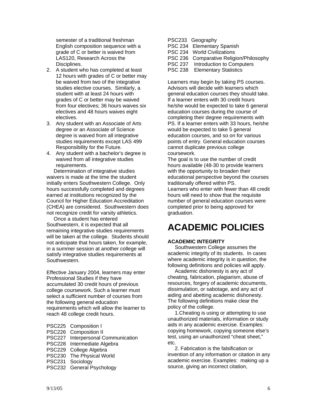semester of a traditional freshman English composition sequence with a grade of C or better is waived from LAS120, Research Across the Disciplines.

- 2. A student who has completed at least 12 hours with grades of C or better may be waived from two of the integrative studies elective courses. Similarly, a student with at least 24 hours with grades of C or better may be waived from four electives; 36 hours waives six electives and 48 hours waives eight electives.
- 3. Any student with an Associate of Arts degree or an Associate of Science degree is waived from all integrative studies requirements except LAS 499 Responsibility for the Future.
- 4. Any student with a bachelor's degree is waived from all integrative studies requirements.

 Determination of integrative studies waivers is made at the time the student initially enters Southwestern College. Only hours successfully completed and degrees earned at institutions recognized by the Council for Higher Education Accreditation (CHEA) are considered. Southwestern does not recognize credit for varsity athletics.

 Once a student has entered Southwestern, it is expected that all remaining integrative studies requirements will be taken at the college. Students should not anticipate that hours taken, for example, in a summer session at another college will satisfy integrative studies requirements at Southwestern.

Effective January 2004, learners may enter Professional Studies if they have accumulated 30 credit hours of previous college coursework. Such a learner must select a sufficient number of courses from the following general education requirements which will allow the learner to reach 48 college credit hours.

- PSC225 Composition I PSC226 Composition II PSC227 Interpersonal Communication PSC228 Intermediate Algebra PSC229 College Algebra PSC230 The Physical World PSC231 Sociology
- PSC232 General Psychology

| PSC233 Geography                        |
|-----------------------------------------|
| PSC 234 Elementary Spanish              |
| PSC 234 World Civilizations             |
| PSC 236 Comparative Religion/Philosophy |
| PSC 237 Introduction to Computers       |
| PSC 238 Elementary Statistics           |

Learners may begin by taking PS courses. Advisors will decide with learners which general education courses they should take. If a learner enters with 30 credit hours he/she would be expected to take 6 general education courses during the course of completing their degree requirements with PS. If a learner enters with 33 hours, he/she would be expected to take 5 general education courses, and so on for various points of entry. General education courses cannot duplicate previous college coursework.

The goal is to use the number of credit hours available (48-30 to provide learners with the opportunity to broaden their educational perspective beyond the courses traditionally offered within PS. Learners who enter with fewer than 48 credit hours will need to show that the requisite number of general education courses were

completed prior to being approved for graduation.

# **ACADEMIC POLICIES**

#### **ACADEMIC INTEGRITY**

 Southwestern College assumes the academic integrity of its students. In cases where academic integrity is in question, the following definitions and policies will apply.

 Academic dishonesty is any act of cheating, fabrication, plagiarism, abuse of resources, forgery of academic documents, dissimulation, or sabotage, and any act of aiding and abetting academic dishonesty. The following definitions make clear the policy of the college.

 1.Cheating is using or attempting to use unauthorized materials, information or study aids in any academic exercise. Examples: copying homework, copying someone else's test, using an unauthorized "cheat sheet," etc.

 2. Fabrication is the falsification or invention of any information or citation in any academic exercise. Examples: making up a source, giving an incorrect citation,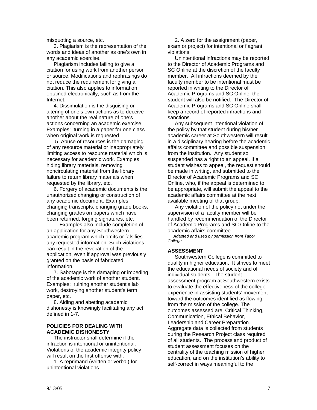misquoting a source, etc.

 3. Plagiarism is the representation of the words and ideas of another as one's own in any academic exercise.

 Plagiarism includes failing to give a citation for using work from another person or source. Modifications and rephrasings do not reduce the requirement for giving a citation. This also applies to information obtained electronically, such as from the Internet.

 4. Dissimulation is the disguising or altering of one's own actions as to deceive another about the real nature of one's actions concerning an academic exercise. Examples: turning in a paper for one class when original work is requested.

 5. Abuse of resources is the damaging of any resource material or inappropriately limiting access to resource material which is necessary for academic work. Examples: hiding library materials, removing noncirculating material from the library, failure to return library materials when requested by the library, etc.

 6. Forgery of academic documents is the unauthorized changing or construction of any academic document. Examples: changing transcripts, changing grade books, changing grades on papers which have been returned, forging signatures, etc.

 Examples also include completion of an application for any Southwestern academic program which omits or falsifies any requested information. Such violations can result in the revocation of the application, even if approval was previously granted on the basis of fabricated information.

 7. Sabotage is the damaging or impeding of the academic work of another student. Examples: ruining another student's lab work, destroying another student's term paper, etc.

 8. Aiding and abetting academic dishonesty is knowingly facilitating any act defined in 1-7.

#### **POLICIES FOR DEALING WITH ACADEMIC DISHONESTY**

 The instructor shall determine if the infraction is intentional or unintentional. Violations of the academic integrity policy will result on the first offense with:

 1. A reprimand (written or verbal) for unintentional violations

 2. A zero for the assignment (paper, exam or project) for intentional or flagrant violations

 Unintentional infractions may be reported to the Director of Academic Programs and SC Online at the discretion of the faculty member. All infractions deemed by the faculty member to be intentional must be reported in writing to the Director of Academic Programs and SC Online; the **s**tudent will also be notified. The Director of Academic Programs and SC Online shall keep a record of reported infractions and sanctions.

 Any subsequent intentional violation of the policy by that student during his/her academic career at Southwestern will result in a disciplinary hearing before the academic affairs committee and possible suspension from the institution. Any student so suspended has a right to an appeal. If a student wishes to appeal, the request should be made in writing, and submitted to the Director of Academic Programs and SC Online, who, if the appeal is determined to be appropriate, will submit the appeal to the academic affairs committee at the next available meeting of that group.

 Any violation of the policy not under the supervision of a faculty member will be handled by recommendation of the Director of Academic Programs and SC Online to the academic affairs committee.

 *Adapted and used by permission from Tabor College.* 

#### **ASSESSMENT**

 Southwestern College is committed to quality in higher education. It strives to meet the educational needs of society and of individual students. The student assessment program at Southwestern exists to evaluate the effectiveness of the college experience in assisting students' movement toward the outcomes identified as flowing from the mission of the college. The outcomes assessed are: Critical Thinking, Communication, Ethical Behavior, Leadership and Career Preparation. Aggregate data is collected from students during the Research Project class required of all students. The process and product of student assessment focuses on the centrality of the teaching mission of higher education, and on the institution's ability to self-correct in ways meaningful to the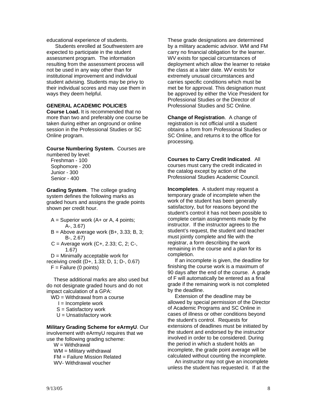educational experience of students.

 Students enrolled at Southwestern are expected to participate in the student assessment program. The information resulting from the assessment process will not be used in any way other than for institutional improvement and individual student advising. Students may be privy to their individual scores and may use them in ways they deem helpful.

#### **GENERAL ACADEMIC POLICIES**

**Course Load.** It is recommended that no more than two and preferably one course be taken during either an onground or online session in the Professional Studies or SC Online program.

**Course Numbering System.** Courses are numbered by level:

 Freshman - 100 Sophomore - 200 Junior - 300 Senior - 400

**Grading System**. The college grading system defines the following marks as graded hours and assigns the grade points shown per credit hour.

- $A =$  Superior work (A+ or A, 4 points; A-, 3.67)
- $B =$  Above average work (B+, 3.33; B, 3; B-, 2.67)
- C = Average work (C+, 2.33; C, 2; C-, 1.67)
- $D =$  Minimally acceptable work for receiving credit (D+, 1.33; D, 1; D-, 0.67)  $F =$  Failure (0 points)
	-

 These additional marks are also used but do not designate graded hours and do not impact calculation of a GPA:

- WD = Withdrawal from a course
	- $I = Incomplete work$
	- S = Satisfactory work
	- $U =$  Unsatisfactory work

#### **Military Grading Scheme for eArmyU**. Our

involvement with eArmyU requires that we use the following grading scheme:

 $W = W$ ithdrawal

- WM = Military withdrawal FM = Failure Mission Related
- WV- Withdrawal voucher

These grade designations are determined by a military academic advisor. WM and FM carry no financial obligation for the learner. WV exists for special circumstances of deployment which allow the learner to retake the class at a later date. WV exists for extremely unusual circumstances and carries specific conditions which must be met be for approval. This designation must be approved by either the Vice President for Professional Studies or the Director of Professional Studies and SC Online.

**Change of Registration**. A change of registration is not official until a student obtains a form from Professional Studies or SC Online, and returns it to the office for processing.

**Courses to Carry Credit Indicated**. All courses must carry the credit indicated in the catalog except by action of the Professional Studies Academic Council.

**Incompletes**. A student may request a temporary grade of incomplete when the work of the student has been generally satisfactory, but for reasons beyond the student's control it has not been possible to complete certain assignments made by the instructor. If the instructor agrees to the student's request, the student and teacher must jointly complete and file with the registrar, a form describing the work remaining in the course and a plan for its completion.

 If an incomplete is given, the deadline for finishing the course work is a maximum of 90 days after the end of the course. A grade of F will automatically be entered as a final grade if the remaining work is not completed by the deadline.

 Extension of the deadline may be allowed by special permission of the Director of Academic Programs and SC Online in cases of illness or other conditions beyond the student's control. Requests for extensions of deadlines must be initiated by the student and endorsed by the instructor involved in order to be considered. During the period in which a student holds an incomplete, the grade point average will be calculated without counting the incomplete.

 An instructor may not give an incomplete unless the student has requested it. If at the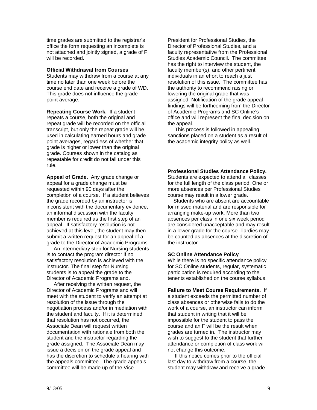time grades are submitted to the registrar's office the form requesting an incomplete is not attached and jointly signed, a grade of F will be recorded.

#### **Official Withdrawal from Courses**.

Students may withdraw from a course at any time no later than one week before the course end date and receive a grade of WD. This grade does not influence the grade point average.

**Repeating Course Work.** If a student repeats a course, both the original and repeat grade will be recorded on the official transcript, but only the repeat grade will be used in calculating earned hours and grade point averages, regardless of whether that grade is higher or lower than the original grade. Courses shown in the catalog as repeatable for credit do not fall under this rule.

**Appeal of Grade.** Any grade change or appeal for a grade change must be requested within 90 days after the completion of a course. If a student believes the grade recorded by an instructor is inconsistent with the documentary evidence, an informal discussion with the faculty member is required as the first step of an appeal. If satisfactory resolution is not achieved at this level, the student may then submit a written request for an appeal of a grade to the Director of Academic Programs.

 An intermediary step for Nursing students is to contact the program director if no satisfactory resolution is achieved with the instructor. The final step for Nursing students is to appeal the grade to the Director of Academic Programs and.

 After receiving the written request, the Director of Academic Programs and will meet with the student to verify an attempt at resolution of the issue through the negotiation process and/or in mediation with the student and faculty. If it is determined that resolution has not occurred, the Associate Dean will request written documentation with rationale from both the student and the instructor regarding the grade assigned. The Associate Dean may issue a decision on the grade appeal and has the discretion to schedule a hearing with the appeals committee. The grade appeals committee will be made up of the Vice

President for Professional Studies, the Director of Professional Studies, and a faculty representative from the Professional Studies Academic Council.The committee has the right to interview the student, the faculty member(s), and other pertinent individuals in an effort to reach a just resolution of this issue. The committee has the authority to recommend raising or lowering the original grade that was assigned. Notification of the grade appeal findings will be forthcoming from the Director of Academic Programs and SC Online's office and will represent the final decision on the appeal.

 This process is followed in appealing sanctions placed on a student as a result of the academic integrity policy as well.

**Professional Studies Attendance Policy.** Students are expected to attend all classes for the full length of the class period. One or more absences per Professional Studies course may result in a lower grade.

 Students who are absent are accountable for missed material and are responsible for arranging make-up work. More than two absences per class in one six week period are considered unacceptable and may result in a lower grade for the course. Tardies may be counted as absences at the discretion of the instructor.

#### **SC Online Attendance Policy**

While there is no specific attendance policy for SC Online students, regular, systematic participation is required according to the tenents established on the course syllabus.

**Failure to Meet Course Requirements.** If a student exceeds the permitted number of class absences or otherwise fails to do the work of a course, an instructor can inform that student in writing that it will be impossible for the student to pass the course and an F will be the result when grades are turned in. The instructor may wish to suggest to the student that further attendance or completion of class work will not change this outcome.

 If this notice comes prior to the official last day to withdraw from a course, the student may withdraw and receive a grade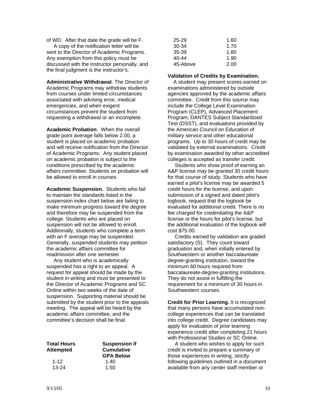of WD. After that date the grade will be F. A copy of the notification letter will be sent to the Director of Academic Programs. Any exemption from this policy must be discussed with the instructor personally, and the final judgment is the instructor's.

**Administrative Withdrawal**. The Director of Academic Programs may withdraw students from courses under limited circumstances associated with advising error, medical emergencies, and when exigent circumstances prevent the student from requesting a withdrawal or an incomplete.

**Academic Probation**. When the overall grade point average falls below 2.00, a student is placed on academic probation and will receive notification from the Director of Academic Programs. Any student placed on academic probation is subject to the conditions prescribed by the academic affairs committee. Students on probation will be allowed to enroll in courses.

**Academic Suspension.** Students who fail to maintain the standards listed in the suspension index chart below are failing to make minimum progress toward the degree and therefore may be suspended from the college. Students who are placed on suspension will not be allowed to enroll. Additionally, students who complete a term with an F average may be suspended. Generally, suspended students may petition the academic affairs committee for readmission after one semester.

 Any student who is academically suspended has a right to an appeal. A request for appeal should be made by the student in writing and must be presented to the Director of Academic Programs and SC Online within two weeks of the date of suspension. Supporting material should be submitted by the student prior to the appeals meeting. The appeal will be heard by the academic affairs committee, and the committee's decision shall be final.

| <b>Total Hours</b><br><b>Attempted</b> | <b>Suspension if</b><br><b>Cumulative</b><br><b>GPA Below</b> |
|----------------------------------------|---------------------------------------------------------------|
| 1-12                                   | 1.40                                                          |
| $13 - 24$                              | 1.50                                                          |

| 25-29    | 1.60 |
|----------|------|
| 30-34    | 1.70 |
| 35-39    | 1.80 |
| 40-44    | 1.90 |
| 45-Above | 2.00 |

#### **Validation of Credits by Examination.**

A student may present scores earned on examinations administered by outside agencies approved by the academic affairs committee. Credit from this source may include the College Level Examination Program (CLEP), Advanced Placement Program, DANTES Subject Standardized Test (DSST), and evaluations provided by the American Council on Education of military service and other educational programs. Up to 30 hours of credit may be validated by external examinations. Credit by examination awarded by other accredited colleges is accepted as transfer credit.

 Students who show proof of earning an A&P license may be granted 30 credit hours for that course of study. Students who have earned a pilot's license may be awarded 5 credit hours for the license, and upon submission of a signed and dated pilot's logbook, request that the logbook be evaluated for additional credit. There is no fee charged for credentialing the A&P license or the hours for pilot's license, but the additional evaluation of the logbook will cost \$75.00.

 Credits earned by validation are graded satisfactory (S). They count toward graduation and, when initially entered by Southwestern or another baccalaureate degree-granting institution, toward the minimum 60 hours required from baccalaureate-degree-granting institutions. They do not assist in fulfilling the requirement for a minimum of 30 hours in Southwestern courses.

**Credit for Prior Learning.** It is recognized that many persons have accumulated noncollege experiences that can be translated into college credit. Degree candidates may apply for evaluation of prior learning experience credit after completing 21 hours with Professional Studies or SC Online.

 A student who wishes to apply for such credit is invited to prepare a summary of those experiences in writing, strictly following guidelines outlined in a document available from any center staff member or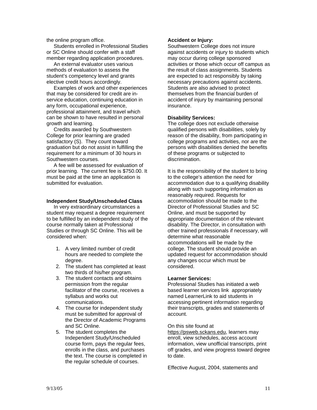the online program office.

 Students enrolled in Professional Studies or SC Online should confer with a staff member regarding application procedures.

 An external evaluator uses various methods of evaluation to assess the student's competency level and grants elective credit hours accordingly.

 Examples of work and other experiences that may be considered for credit are inservice education, continuing education in any form, occupational experience, professional attainment, and travel which can be shown to have resulted in personal growth and learning.

 Credits awarded by Southwestern College for prior learning are graded satisfactory (S). They count toward graduation but do not assist in fulfilling the requirement for a minimum of 30 hours in Southwestern courses.

 A fee will be assessed for evaluation of prior learning. The current fee is \$750.00. It must be paid at the time an application is submitted for evaluation.

#### **Independent Study/Unscheduled Class**

 In very extraordinary circumstances a student may request a degree requirement to be fulfilled by an independent study of the course normally taken at Professional Studies or through SC Online. This will be considered when:

- 1. A very limited number of credit hours are needed to complete the degree.
- 2. The student has completed at least two thirds of his/her program.
- 3. The student contacts and obtains permission from the regular facilitator of the course, receives a syllabus and works out communications.
- 4. The course for independent study must be submitted for approval of the Director of Academic Programs and SC Online.
- 5. The student completes the Independent Study/Unscheduled course form, pays the regular fees, enrolls in the class, and purchases the text. The course is completed in the regular schedule of courses.

#### **Accident or Injury:**

Southwestern College does not insure against accidents or injury to students which may occur during college sponsored activities or those which occur off campus as the result of class assignments. Students are expected to act responsibly by taking necessary precautions against accidents. Students are also advised to protect themselves from the financial burden of accident of injury by maintaining personal insurance.

#### **Disability Services:**

The college does not exclude otherwise qualified persons with disabilities, solely by reason of the disability, from participating in college programs and activities, nor are the persons with disabilities denied the benefits of these programs or subjected to discrimination.

It is the responsibility of the student to bring to the college's attention the need for accommodation due to a qualifying disability along with such supporting information as reasonably required. Requests for accommodation should be made to the Director of Professional Studies and SC Online, and must be supported by appropriate documentation of the relevant disability. The Director, in consultation with other trained professionals if necessary, will determine what reasonable accommodations will be made by the college. The student should provide an updated request for accommodation should any changes occur which must be considered.

#### **Learner Services:**

Professional Studies has initiated a web based learner services link appropriately named LearnerLink to aid students in accessing pertinent information regarding their transcripts, grades and statements of account.

#### On this site found at

https://psweb.sckans.edu, learners may enroll, view schedules, access account information, view unofficial transcripts, print off grades, and view progress toward degree to date.

Effective August, 2004, statements and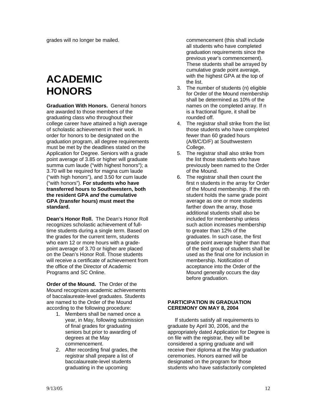grades will no longer be mailed.

# **ACADEMIC HONORS**

**Graduation With Honors.** General honors are awarded to those members of the graduating class who throughout their college career have attained a high average of scholastic achievement in their work. In order for honors to be designated on the graduation program, all degree requirements must be met by the deadlines stated on the Application for Degree. Seniors with a grade point average of 3.85 or higher will graduate summa cum laude ("with highest honors"); a 3.70 will be required for magna cum laude ("with high honors"), and 3.50 for cum laude ("with honors"). **For students who have transferred hours to Southwestern, both the resident GPA** *and* **the cumulative GPA (transfer hours) must meet the standard.**

**Dean's Honor Roll.** The Dean's Honor Roll recognizes scholastic achievement of fulltime students during a single term. Based on the grades for the current term, students who earn 12 or more hours with a gradepoint average of 3.70 or higher are placed on the Dean's Honor Roll. Those students will receive a certificate of achievement from the office of the Director of Academic Programs and SC Online.

**Order of the Mound.** The Order of the Mound recognizes academic achievements of baccalaureate-level graduates. Students are named to the Order of the Mound according to the following procedure:

- 1. Members shall be named once a year, in May, following submission of final grades for graduating seniors but prior to awarding of degrees at the May commencement.
- 2. After recording final grades, the registrar shall prepare a list of baccalaureate-level students graduating in the upcoming

commencement (this shall include all students who have completed graduation requirements since the previous year's commencement). These students shall be arrayed by cumulative grade point average, with the highest GPA at the top of the list.

- 3. The number of students (n) eligible for Order of the Mound membership shall be determined as 10% of the names on the completed array. If n is a fractional figure, it shall be rounded off.
- 4. The registrar shall strike from the list those students who have completed fewer than 60 graded hours (A/B/C/D/F) at Southwestern College.
- 5. The registrar shall also strike from the list those students who have previously been named to the Order of the Mound.
- 6. The registrar shall then count the first n students in the array for Order of the Mound membership. If the nth student holds the same grade point average as one or more students farther down the array, those additional students shall also be included for membership unless such action increases membership to greater than 12% of the graduates. In such case, the first grade point average higher than that of the tied group of students shall be used as the final one for inclusion in membership. Notification of acceptance into the Order of the Mound generally occurs the day before graduation.

#### **PARTICIPATION IN GRADUATION CEREMONY ON MAY 8, 2004**

If students satisfy all requirements to graduate by April 30, 2006, and the appropriately dated Application for Degree is on file with the registrar, they will be considered a spring graduate and will receive their diploma at the May graduation ceremonies. Honors earned will be designated on the program for those students who have satisfactorily completed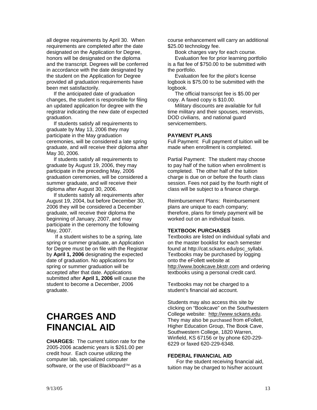all degree requirements by April 30. When requirements are completed after the date designated on the Application for Degree, honors will be designated on the diploma and the transcript. Degrees will be conferred in accordance with the date designated by the student on the Application for Degree provided all graduation requirements have been met satisfactorily.

 If the anticipated date of graduation changes, the student is responsible for filing an updated application for degree with the registrar indicating the new date of expected graduation.

 If students satisfy all requirements to graduate by May 13, 2006 they may participate in the May graduation ceremonies, will be considered a late spring graduate, and will receive their diploma after May 30, 2006.

 If students satisfy all requirements to graduate by August 19, 2006, they may participate in the preceding May, 2006 graduation ceremonies, will be considered a summer graduate, and will receive their diploma after August 30, 2006.

 If students satisfy all requirements after August 19, 2004, but before December 30, 2006 they will be considered a December graduate, will receive their diploma the beginning of January, 2007, and may participate in the ceremony the following May, 2007.

 If a student wishes to be a spring, late spring or summer graduate, an Application for Degree must be on file with the Registrar by **April 1, 2006** designating the expected date of graduation. No applications for spring or summer graduation will be accepted after that date. Applications submitted after **April 1, 2006** will cause the student to become a December, 2006 graduate.

# **CHARGES AND FINANCIAL AID**

**CHARGES:** The current tuition rate for the 2005-2006 academic years is \$261.00 per credit hour. Each course utilizing the computer lab, specialized computer software, or the use of Blackboard™ as a

course enhancement will carry an additional \$25.00 technology fee.

Book charges vary for each course.

 Evaluation fee for prior learning portfolio is a flat fee of \$750.00 to be submitted with the portfolio.

 Evaluation fee for the pilot's license logbook is \$75.00 to be submitted with the logbook.

 The official transcript fee is \$5.00 per copy. A faxed copy is \$10.00.

 Military discounts are available for full time military and their spouses, reservists, DOD civilians, and national guard servicemembers.

#### **PAYMENT PLANS**

Full Payment: Full payment of tuition will be made when enrollment is completed.

Partial Payment: The student may choose to pay half of the tuition when enrollment is completed. The other half of the tuition charge is due on or before the fourth class session. Fees not paid by the fourth night of class will be subject to a finance charge.

Reimbursement Plans: Reimbursement plans are unique to each company; therefore, plans for timely payment will be worked out on an individual basis.

#### **TEXTBOOK PURCHASES**

Textbooks are listed on individual syllabi and on the master booklist for each semester found at http://cat.sckans.edu/psc\_syllabi. Textbooks may be purchased by logging onto the eFollett website at http://www.bookcave.bkstr.com and ordering textbooks using a personal credit card.

Textbooks may not be charged to a student's financial aid account.

Students may also access this site by clicking on "Bookcave" on the Southwestern College website: http://www.sckans.edu. They may also be purchased from eFollett, Higher Education Group, The Book Cave, Southwestern College, 1820 Warren, Winfield, KS 67156 or by phone 620-229- 6229 or faxed 620-229-6348.

#### **FEDERAL FINANCIAL AID**

 For the student receiving financial aid, tuition may be charged to his/her account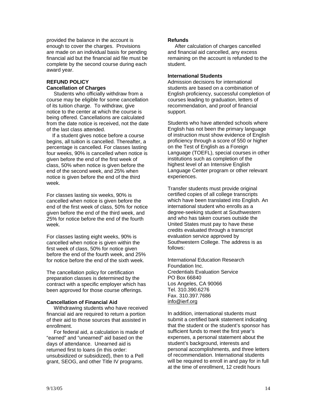provided the balance in the account is enough to cover the charges. Provisions are made on an individual basis for pending financial aid but the financial aid file must be complete by the second course during each award year.

#### **REFUND POLICY Cancellation of Charges**

 Students who officially withdraw from a course may be eligible for some cancellation of its tuition charge. To withdraw, give notice to the center at which the course is being offered. Cancellations are calculated from the date notice is received, not the date of the last class attended.

 If a student gives notice before a course begins, all tuition is cancelled. Thereafter, a percentage is cancelled. For classes lasting four weeks, 90% is cancelled when notice is given before the end of the first week of class, 50% when notice is given before the end of the second week, and 25% when notice is given before the end of the third week.

For classes lasting six weeks, 90% is cancelled when notice is given before the end of the first week of class, 50% for notice given before the end of the third week, and 25% for notice before the end of the fourth week.

For classes lasting eight weeks, 90% is cancelled when notice is given within the first week of class, 50% for notice given before the end of the fourth week, and 25% for notice before the end of the sixth week.

The cancellation policy for certification preparation classes is determined by the contract with a specific employer which has been approved for those course offerings.

#### **Cancellation of Financial Aid**

Withdrawing students who have received financial aid are required to return a portion of their aid to those sources that assisted in enrollment.

 For federal aid, a calculation is made of "earned" and "unearned" aid based on the days of attendance. Unearned aid is returned first to loans (in this order: unsubsidized or subsidized), then to a Pell grant, SEOG, and other Title IV programs.

#### **Refunds**

After calculation of charges cancelled and financial aid cancelled, any excess remaining on the account is refunded to the student.

#### **International Students**

Admission decisions for international students are based on a combination of English proficiency, successful completion of courses leading to graduation, letters of recommendation, and proof of financial support.

Students who have attended schools where English has not been the primary language of instruction must show evidence of English proficiency through a score of 550 or higher on the Test of English as a Foreign Language (TOEFL), special courses in other institutions such as completion of the highest level of an Intensive English Language Center program or other relevant experiences.

Transfer students must provide original certified copies of all college transcripts which have been translated into English. An international student who enrolls as a degree-seeking student at Southwestern and who has taken courses outside the United States must pay to have these credits evaluated through a transcript evaluation service approved by Southwestern College. The address is as follows:

International Education Research Foundation Inc. Credentials Evaluation Service PO Box 66840 Los Angeles, CA 90066 Tel. 310.390.6276 Fax. 310.397.7686 info@ierf.org

In addition, international students must submit a certified bank statement indicating that the student or the student's sponsor has sufficient funds to meet the first year's expenses, a personal statement about the student's background, interests and personal accomplishments, and three letters of recommendation. International students will be required to enroll in and pay for in full at the time of enrollment, 12 credit hours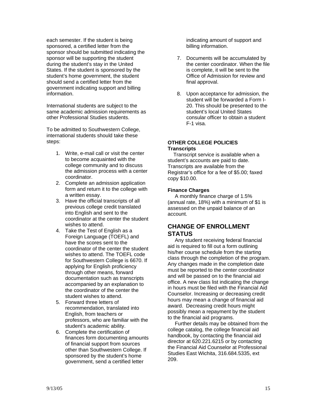each semester. If the student is being sponsored, a certified letter from the sponsor should be submitted indicating the sponsor will be supporting the student during the student's stay in the United States. If the student is sponsored by the student's home government, the student should send a certified letter from the government indicating support and billing information.

International students are subject to the same academic admission requirements as other Professional Studies students.

To be admitted to Southwestern College, international students should take these steps:

- 1. Write, e-mail call or visit the center to become acquainted with the college community and to discuss the admission process with a center coordinator.
- 2. Complete an admission application form and return it to the college with a written essay.
- 3. Have the official transcripts of all previous college credit translated into English and sent to the coordinator at the center the student wishes to attend.
- 4. Take the Test of English as a Foreign Language (TOEFL) and have the scores sent to the coordinator of the center the student wishes to attend. The TOEFL code for Southwestern College is 6670. If applying for English proficiency through other means, forward documentation such as transcripts accompanied by an explanation to the coordinator of the center the student wishes to attend.
- 5. Forward three letters of recommendation, translated into English, from teachers or professors, who are familiar with the student's academic ability.
- 6. Complete the certification of finances form documenting amounts of financial support from sources other than Southwestern College. If sponsored by the student's home government, send a certified letter

indicating amount of support and billing information.

- 7. Documents will be accumulated by the center coordinator. When the file is complete, it will be sent to the Office of Admission for review and final approval.
- 8. Upon acceptance for admission, the student will be forwarded a Form I-20. This should be presented to the student's local United States consular officer to obtain a student F-1 visa.

#### **OTHER COLLEGE POLICIES Transcripts**

Transcript service is available when a student's accounts are paid to date. Transcripts are available from the Registrar's office for a fee of \$5.00; faxed copy \$10.00.

#### **Finance Charges**

 A monthly finance charge of 1.5% (annual rate, 18%) with a minimum of \$1 is assessed on the unpaid balance of an account.

#### **CHANGE OF ENROLLMENT STATUS**

 Any student receiving federal financial aid is required to fill out a form outlining his/her course schedule from the starting class through the completion of the program. Any changes made in the completion date must be reported to the center coordinator and will be passed on to the financial aid office. A new class list indicating the change in hours must be filed with the Financial Aid Counselor. Increasing or decreasing credit hours may mean a change of financial aid award. Decreasing credit hours might possibly mean a repayment by the student to the financial aid programs.

 Further details may be obtained from the college catalog, the college financial aid handbook, by contacting the financial aid director at 620.221.6215 or by contacting the Financial Aid Counselor at Professional Studies East Wichita, 316.684.5335, ext 209.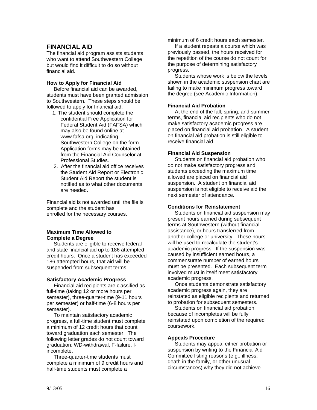#### **FINANCIAL AID**

The financial aid program assists students who want to attend Southwestern College but would find it difficult to do so without financial aid.

#### **How to Apply for Financial Aid**

 Before financial aid can be awarded, students must have been granted admission to Southwestern. These steps should be followed to apply for financial aid:

- 1. The student should complete the confidential Free Application for Federal Student Aid (FAFSA) which may also be found online at www.fafsa.org, indicating Southwestern College on the form. Application forms may be obtained from the Financial Aid Counselor at Professional Studies.
- 2. After the financial aid office receives the Student Aid Report or Electronic Student Aid Report the student is notified as to what other documents are needed.

Financial aid is not awarded until the file is complete and the student has enrolled for the necessary courses.

#### **Maximum Time Allowed to Complete a Degree**

 Students are eligible to receive federal and state financial aid up to 186 attempted credit hours. Once a student has exceeded 186 attempted hours, that aid will be suspended from subsequent terms.

#### **Satisfactory Academic Progress**

 Financial aid recipients are classified as full-time (taking 12 or more hours per semester), three-quarter-time (9-11 hours per semester) or half-time (6-8 hours per semester).

 To maintain satisfactory academic progress, a full-time student must complete a minimum of 12 credit hours that count toward graduation each semester. The following letter grades do not count toward graduation: WD-withdrawal, F-failure, Iincomplete.

 Three-quarter-time students must complete a minimum of 9 credit hours and half-time students must complete a

minimum of 6 credit hours each semester.

 If a student repeats a course which was previously passed, the hours received for the repetition of the course do not count for the purpose of determining satisfactory progress.

 Students whose work is below the levels shown in the academic suspension chart are failing to make minimum progress toward the degree (see Academic Information).

#### **Financial Aid Probation**

 At the end of the fall, spring, and summer terms, financial aid recipients who do not make satisfactory academic progress are placed on financial aid probation. A student on financial aid probation is still eligible to receive financial aid.

#### **Financial Aid Suspension**

 Students on financial aid probation who do not make satisfactory progress and students exceeding the maximum time allowed are placed on financial aid suspension. A student on financial aid suspension is not eligible to receive aid the next semester of attendance.

#### **Conditions for Reinstatement**

 Students on financial aid suspension may present hours earned during subsequent terms at Southwestern (without financial assistance), or hours transferred from another college or university. These hours will be used to recalculate the student's academic progress. If the suspension was caused by insufficient earned hours, a commensurate number of earned hours must be presented. Each subsequent term involved must in itself meet satisfactory academic progress.

 Once students demonstrate satisfactory academic progress again, they are reinstated as eligible recipients and returned to probation for subsequent semesters.

 Students on financial aid probation because of incompletes will be fully reinstated upon completion of the required coursework.

#### **Appeals Procedure**

 Students may appeal either probation or suspension by writing to the Financial Aid Committee listing reasons (e.g., illness, death in the family, or other unusual circumstances) why they did not achieve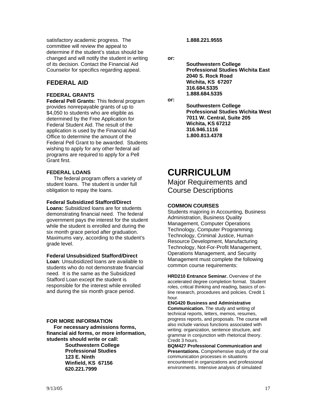satisfactory academic progress. The committee will review the appeal to determine if the student's status should be changed and will notify the student in writing of its decision. Contact the Financial Aid Counselor for specifics regarding appeal.

#### **FEDERAL AID**

#### **FEDERAL GRANTS**

**Federal Pell Grants:** This federal program provides nonrepayable grants of up to \$4,050 to students who are eligible as determined by the Free Application for Federal Student Aid. The result of the application is used by the Financial Aid Office to determine the amount of the Federal Pell Grant to be awarded. Students wishing to apply for any other federal aid programs are required to apply for a Pell Grant first.

#### **FEDERAL LOANS**

 The federal program offers a variety of student loans. The student is under full obligation to repay the loans.

#### **Federal Subsidized Stafford/Direct**

**Loans:** Subsidized loans are for students demonstrating financial need. The federal government pays the interest for the student while the student is enrolled and during the six month grace period after graduation. Maximums vary, according to the student's grade level.

#### **Federal Unsubsidized Stafford/Direct**

**Loan**: Unsubsidized loans are available to students who do not demonstrate financial need. It is the same as the Subsidized Stafford Loan except the student is responsible for the interest while enrolled and during the six month grace period.

#### **FOR MORE INFORMATION**

 **For necessary admissions forms, financial aid forms, or more information, students should write or call:** 

 **Southwestern College Professional Studies 123 E. Ninth Winfield, KS 67156 620.221.7999** 

 **1.888.221.9555** 

**or:** 

 **Southwestern College Professional Studies Wichita East 2040 S. Rock Road Wichita, KS 67207 316.684.5335 1.888.684.5335** 

**or:** 

 **Southwestern College Professional Studies Wichita West 7011 W. Central, Suite 205 Wichita, KS 67212 316.946.1116 1.800.813.4378** 

# **CURRICULUM**

Major Requirements and Course Descriptions

#### **COMMON COURSES**

Students majoring in Accounting, Business Administration, Business Quality Management, Computer Operations Technology, Computer Programming Technology, Criminal Justice, Human Resource Development, Manufacturing Technology, Not-For-Profit Management, Operations Management, and Security Management must complete the following common course requirements:

**HRD210 Entrance Seminar.** Overview of the accelerated degree completion format. Student roles, critical thinking and reading, basics of online research, procedures and policies. Credit 1 hour.

**ENG420 Business and Administrative Communication.** The study and writing of technical reports, letters, memos, resumes, progress reports, and proposals. The course will also include various functions associated with writing: organization, sentence structure, and grammar in conjunction with rhetorical theory. Credit 3 hours.

**BQM427 Professional Communication and Presentations.** Comprehensive study of the oral communication processes in situations encountered in organizations and professional environments. Intensive analysis of simulated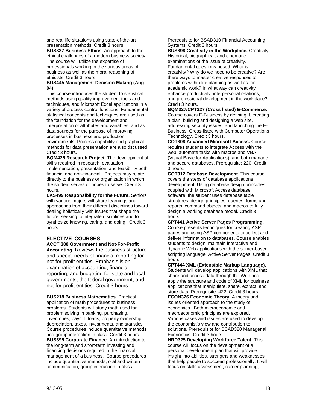and real life situations using state-of-the-art presentation methods. Credit 3 hours.

**BUS337 Business Ethics.** An approach to the ethical challenges of a modern business society. The course will utilize the expertise of professionals working in the various areas of business as well as the moral reasoning of ethicists. Credit 3 hours.

#### **BUS445 Management Decision Making (Aug 04).**

This course introduces the student to statistical methods using quality improvement tools and techniques, and Microsoft Excel applications in a variety of process control functions. Fundamental statistical concepts and techniques are used as the foundation for the development and interpretation of attributes and variables, and as data sources for the purpose of improving processes in business and production environments. Process capability and graphical methods for data presentation are also dscussed. Credit 3 hours.

**BQM425 Research Project.** The development of skills required in research, evaluation, implementation, presentation, and feasibility both financial and non-financial. Projects may relate directly to the business or organization in which the student serves or hopes to serve. Credit 3 hours.

**LAS499 Responsibility for the Future.** Seniors with various majors will share learnings and approaches from their different disciplines toward dealing holistically with issues that shape the future, seeking to integrate disciplines and to synthesize knowing, caring, and doing. Credit 3 hours.

#### **ELECTIVE COURSES**

**ACCT 388 Government and Not-For-Profit Accounting.** Reviews the business structure and special needs of financial reporting for not-for-profit entities. Emphasis is on examination of accounting, financial reporting, and budgeting for state and local governments, the federal government, and not-for-profit entities. Credit 3 hours

**BUS218 Business Mathematics.** Practical application of math procedures to business problems. Students will study math used for problem solving in banking, purchasing, inventories, payroll, loans, property ownership, depreciation, taxes, investments, and statistics. Course procedures include quantitative methods and group interaction in class. Credit 3 hours. **BUS395 Corporate Finance.** An introduction to the long-term and short-term investing and financing decisions required in the financial management of a business. Course procedures include quantitative methods, oral and written communication, group interaction in class.

Prerequisite for BSAD310 Financial Accounting Systems. Credit 3 hours.

**BUS398 Creativity in the Workplace.** Creativity: Historical, biographical, and cinematic

examinations of the issue of creativity. Fundamental questions posed: What is creativity? Why do we need to be creative? Are there ways to master creative responses to problems within life planning as well as for academic work? In what way can creativity enhance productivity, interpersonal relations, and professional development in the workplace? Credit 3 hours.

#### **BQM327/CPT327 (Cross listed) E-Commerce.**

Course covers E-Business by defining it, creating a plan, building and designing a web site, addressing security issues, and launching the E-Business. Cross-listed with Computer Operations Technology. Credit 3 hours.

**COT308 Advanced Microsoft Access.** Course requires students to integrate Access with the web, automate tasks with macros and VBA (Visual Basic for Applications), and both manage and secure databases. Prerequisite: 220. Credit 3 hours.

**COT312 Database Development.** This course covers the steps of database applications development. Using database design principles coupled with Microsoft Access database software, the student uses database table structures, design principles, queries, forms and reports, command objects, and macros to fully design a working database model. Credit 3 hours.

**CPT441 Active Server Pages Programming.**  Course presents techniques for creating ASP pages and using ASP components to collect and deliver information to databases. Course enables students to design, maintain interactive and dynamic Web applications with the server-based scripting language, Active Server Pages. Credit 3 hours.

**CPT444 XML (Extensible Markup Language).**  Students will develop applications with XML that share and access data through the Web and apply the structure and code of XML for business applications that manipulate, share, extract, and store data. Prerequisite: 422. Credit 3 hours. **ECON326 Economic Theory.** A theory and issues oriented approach to the study of economics. Both microeconomic and macroeconomic principles are explored. Various cases and issues are used to develop the economist's view and contribution to solutions. Prerequisite for BSAD320 Managerial Economics. Credit 3 hours.

**HRD325 Developing Workforce Talent.** This course will focus on the development of a personal development plan that will provide insight into abilities, strengths and weaknesses that help people to succeed professionally. It will focus on skills assessment, career planning,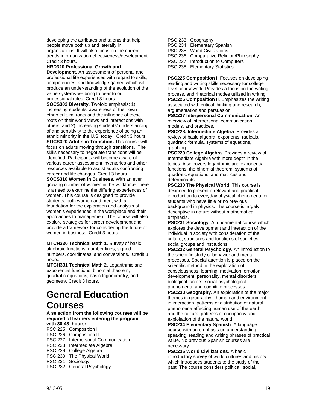developing the attributes and talents that help people move both up and laterally in organizations. It will also focus on the current trends in organization effectiveness/development. Credit 3 hours.

#### **HRD320 Professional Growth and**

**Development.** An assessment of personal and professional life experiences with regard to skills, competencies, and knowledge gained which will produce an under-standing of the evolution of the value systems we bring to bear to our professional roles. Credit 3 hours. **SOCS302 Diversity.** Twofold emphasis: 1) increasing students' awareness of their own ethno cultural roots and the influence of these roots on their world views and interactions with others, and 2) increasing students' understanding of and sensitivity to the experience of being an ethnic minority in the U.S. today. Credit 3 hours. **SOCS320 Adults in Transition.** This course will

focus on adults moving through transitions. The skills necessary to negotiate transitions will be identified. Participants will become aware of various career assessment inventories and other resources available to assist adults confronting career and life changes. Credit 3 hours.

**SOCS310 Women in Business.** With an ever growing number of women in the workforce, there is a need to examine the differing experiences of women. This course is designed to provide students, both women and men, with a foundation for the exploration and analysis of women's experiences in the workplace and their approaches to management. The course will also explore strategies for career development and provide a framework for considering the future of women in business. Credit 3 hours.

**MTCH330 Technical Math 1. Survey of basic** algebraic functions, number lines, signed numbers, coordinates, and conversions. Credit 3 hours.

**MTCH331 Technical Math 2.** Logarithmic and exponential functions, binomial theorem, quadratic equations, basic trigonometry, and geometry. Credit 3 hours.

# **General Education**

### **Courses**

**A selection from the following courses will be required of learners entering the program with 30-48 hours:** 

PSC 225 Composition I

- PSC 226 Composition II
- PSC 227 Interpersonal Communication
- PSC 228 Intermediate Algebra
- PSC 229 College Algebra
- PSC 230 The Physical World
- PSC 231 Sociology
- 
- PSC 232 General Psychology

PSC 233 Geography PSC 234 Elementary Spanish PSC 235 World Civilizations PSC 236 Comparative Religion/Philosophy PSC 237 Introduction to Computers PSC 238 Elementary Statistics

**PSC225 Composition I**. Focuses on developing reading and writing skills necessary for college level coursework. Provides a focus on the writing process, and rhetorical modes utilized in writing. **PSC226 Composition II**. Emphasizes the writing associated with critical thinking and research, argumentation and persuasion.

**PSC227 Interpersonal Communication**. An overview of interpersonal communication, models, and practices.

**PSC228. Intermediate Algebra**. Provides a review of basic algebra, exponents, radicals, quadratic formula, systems of equations, graphing.

**PSC229 College Algebra**. Provides a review of Intermediate Algebra with more depth in the topics. Also covers logarithmic and exponential functions, the binomial theorem, systems of quadratic equations, and matrices and determinants.

**PSC230 The Physical World**. This course is designed to present a relevant and practical introduction to everyday physical phenomena for students who have little or no previous background in physics. The course is largely descriptive in nature without mathematical emphasis.

**PSC231 Sociology**. A fundamental course which explores the development and interaction of the individual in society with consideration of the culture, structures and functions of societies, social groups and institutions.

**PSC232 General Psychology**. An introduction to the scientific study of behavior and mental processes. Special attention is placed on the scientific method in the exploration of consciousness, learning, motivation, emotion, development, personality, mental disorders, biological factors, social-psychological phenomena, and cognitive processes.

**PSC233 Geography**. An exploration of the major themes in geography—human and environment in interaction, patterns of distribution of natural phenomena affecting human use of the earth, and the cultural patterns of occupancy and exploitation of the natural world.

**PSC234 Elementary Spanish**. A language course with an emphasis on understanding, speaking, reading and writing phrases of practical value. No previous Spanish courses are necessary.

**PSC235 World Civilizations**. A basic introductory survey of world cultures and history which introduces students to the study of the past. The course considers political, social,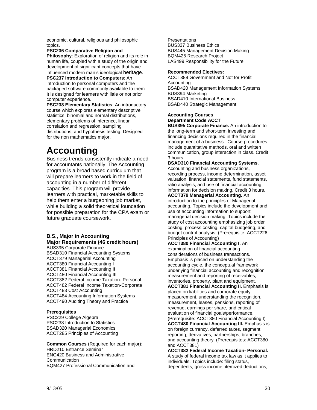economic, cultural, religious and philosophic topics.

**PSC236 Comparative Religion and Philosophy**: Exploration of religion and its role in human life, coupled with a study of the origin and development of significant concepts that have influenced modern man's ideological heritage. **PSC237 Introduction to Computers**: An introduction to personal computers and the packaged software commonly available to them.

It is designed for learners with little or not prior computer experience. **PSC238 Elementary Statistics**: An introductory

course which explores elementary descriptive statistics, binomial and normal distributions, elementary problems of inference, linear correlation and regression, sampling distributions, and hypothesis testing. Designed for the non mathematics major.

# **Accounting**

Business trends consistently indicate a need for accountants nationally. The Accounting program is a broad based curriculum that will prepare learners to work in the field of accounting in a number of different capacities. This program will provide learners with practical, marketable skills to help them enter a burgeoning job market, while building a solid theoretical foundation for possible preparation for the CPA exam or future graduate coursework.

#### **B.S., Major in Accounting Major Requirements (46 credit hours)**

BUS395 Corporate Finance BSAD310 Financial Accounting Systems ACCT379 Managerial Accounting ACCT380 Financial Accounting I ACCT381 Financial Accounting II ACCT480 Financial Accounting III ACCT382 Federal Income Taxation- Personal ACCT482 Federal Income Taxation-Corporate ACCT483 Cost Accounting ACCT484 Accounting Information Systems ACCT490 Auditing Theory and Practice

#### **Prerequisites**

PSC229 College Algebra PSC238 Introduction to Statistics BSAD320 Managerial Economics ACCT285 Principles of Accounting

**Common Courses** (Required for each major): HRD210 Entrance Seminar ENG420 Business and Administrative Communication BQM427 Professional Communication and

**Presentations** BUS337 Business Ethics BUS445 Management Decision Making BQM425 Research Project LAS499 Responsibility for the Future

#### **Recommended Electives:**

ACCT388 Government and Not for Profit Accounting BSAD420 Management Information Systems BUS394 Marketing BSAD410 International Business BSAD440 Strategic Management

#### **Accounting Courses Department Code ACCT**

**BUS395 Corporate Finance.** An introduction to the long-term and short-term investing and financing decisions required in the financial management of a business. Course procedures include quantitative methods, oral and written communication, group interaction in class. Credit 3 hours.

**BSAD310 Financial Accounting Systems.** Accounting and business organizations, recording process, income determination, asset valuation, financial statements, fund statements, ratio analysis, and use of financial accounting information for decision making. Credit 3 hours.

**ACCT379 Managerial Accounting.** An introduction to the principles of Managerial accounting. Topics include the development and use of accounting information to support managerial decision making. Topics include the study of cost accounting emphasizing job order costing, process costing, capital budgeting, and budget control analysis. (Prerequisite: ACCT226 Principles of Accounting)

**ACCT380 Financial Accounting I.** An examination of financial accounting considerations of business transactions. Emphasis is placed on understanding the accounting cycle, the conceptual framework underlying financial accounting and recognition, measurement and reporting of receivables, inventories, property, plant and equipment.

**ACCT381 Financial Accounting II.** Emphasis is placed on liabilities and corporate equity measurement, understanding the recognition, measurement, leases, pensions, reporting of revenue, earnings per share, and critical evaluation of financial goals/performance. (Prerequisite: ACCT380 Financial Accounting I) **ACCT480 Financial Accounting III.** Emphasis is on foreign currency, deferred taxes, segment

reporting, derivatives, partnerships, branches, and accounting theory. (Prerequisites: ACCT380 and ACCT381) **ACCT382 Federal Income Taxation- Personal.**  A study of federal income tax law as it applies to

individuals. Topics include: filing status, dependents, gross income, itemized deductions,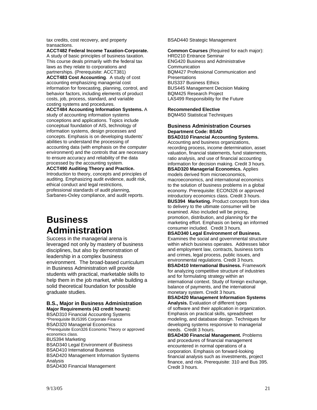tax credits, cost recovery, and property transactions.

**ACCT482 Federal Income Taxation-Corporate.**

A study of basic principles of business taxation. This course deals primarily with the federal tax laws as they relate to corporations and partnerships. (Prerequisite: ACCT381)

**ACCT483 Cost Accounting**. A study of cost accounting emphasizing managerial cost information for forecasting, planning, control, and behavior factors, including elements of product costs, job, process, standard, and variable costing systems and procedures.

**ACCT484 Accounting Information Systems.** A study of accounting information systems conceptions and applications. Topics include conceptual foundation of AIS, technology of information systems, design processes and concepts. Emphasis is on developing students' abilities to understand the processing of accounting data (with emphasis on the computer environment) and the controls that are necessary to ensure accuracy and reliability of the data processed by the accounting system.

**ACCT490 Auditing Theory and Practice.** Introduction to theory, concepts and principles of auditing. Emphasizing audit evidence, audit risk, ethical conduct and legal restrictions, professional standards of audit planning, Sarbanes-Oxley compliance, and audit reports.

## **Business Administration**

Success in the managerial arena is leveraged not only by mastery of business disciplines, but also by demonstration of leadership in a complex business environment. The broad-based curriculum in Business Administration will provide students with practical, marketable skills to help them in the job market, while building a solid theoretical foundation for possible graduate studies.

#### **B.S., Major in Business Administration Major Requirements (43 credit hours):**

BSAD310 Financial Accounting Systems \*Prerequisite BUS395 Corporate Finance BSAD320 Managerial Economics \*Prerequisite Econ326 Economic Theory or approved economics class. BUS394 Marketing BSAD340 Legal Environment of Business BSAD410 International Business BSAD420 Management Information Systems Analysis BSAD430 Financial Management

BSAD440 Strategic Management

**Common Courses** (Required for each major): HRD210 Entrance Seminar ENG420 Business and Administrative **Communication** BQM427 Professional Communication and **Presentations** BUS337 Business Ethics BUS445 Management Decision Making BQM425 Research Project LAS499 Responsibility for the Future

#### **Recommended Elective**

BQM450 Statistical Techniques

#### **Business Administration Courses Department Code: BSAD**

**BSAD310 Financial Accounting Systems.**  Accounting and business organizations, recording process, income determination, asset valuation, financial statements, fund statements, ratio analysis, and use of financial accounting information for decision making. Credit 3 hours.

#### **BSAD320 Managerial Economics.** Applies models derived from microeconomics,

macroeconomics, and international economics to the solution of business problems in a global economy. Prerequisite: ECON326 or approved introductory economics class. Credit 3 hours.

**BUS394 Marketing.** Product concepts from idea to delivery to the ultimate consumer will be examined. Also included will be pricing, promotion, distribution, and planning for the marketing effort. Emphasis on being an informed consumer included. Credit 3 hours.

**BSAD340 Legal Environment of Business.**  Examines the social and governmental structure within which business operates. Addresses labor and employment law, contracts, business torts and crimes, legal process, public issues, and environmental regulations. Credit 3 hours.

**BSAD410 International Business.** Framework for analyzing competitive structure of industries and for formulating strategy within an international context. Study of foreign exchange, balance of payments, and the international monetary system. Credit 3 hours.

**BSAD420 Management Information Systems Analysis.** Evaluation of different types of software and their application in organization. Emphasis on practical skills, spreadsheet modeling, and database design. Techniques for developing systems responsive to managerial needs. Credit 3 hours.

**BSAD430 Financial Management.** Problems and procedures of financial management encountered in normal operations of a corporation. Emphasis on forward-looking financial analysis such as investments, project finance, and risk. Prerequisite: 310 and Bus 395. Credit 3 hours.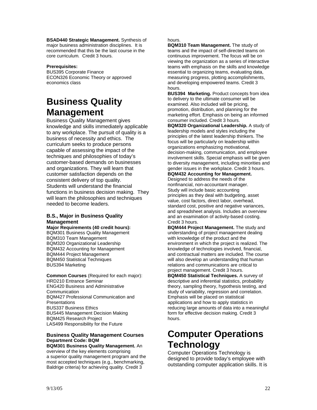**BSAD440 Strategic Management.** Synthesis of major business administration disciplines. It is recommended that this be the last course in the core curriculum*.* Credit 3 hours.

#### **Prerequisites:**

BUS395 Corporate Finance ECON326 Economic Theory or approved economics class

# **Business Quality Management**

Business Quality Management gives knowledge and skills immediately applicable to any workplace. The pursuit of quality is a business of necessity and ethics. The curriculum seeks to produce persons capable of assessing the impact of the techniques and philosophies of today's customer-based demands on businesses and organizations. They will learn that customer satisfaction depends on the consistent delivery of top quality. Students will understand the financial functions in business decision making. They will learn the philosophies and techniques needed to become leaders.

#### **B.S., Major in Business Quality Management**

**Major Requirements (40 credit hours):**  BQM301 Business Quality Management BQM310 Team Management BQM320 Organizational Leadership BQM432 Accounting for Management BQM444 Project Management BQM450 Statistical Techniques BUS394 Marketing

**Common Courses** (Required for each major): HRD210 Entrance Seminar ENG420 Business and Administrative Communication BQM427 Professional Communication and **Presentations** BUS337 Business Ethics BUS445 Management Decision Making BQM425 Research Project LAS499 Responsibility for the Future

#### **Business Quality Management Courses Department Code: BQM**

**BQM301 Business Quality Management.** An overview of the key elements comprising a superior quality management program and the most accepted techniques (e.g., benchmarking, Baldrige criteria) for achieving quality. Credit 3

#### hours.

**BQM310 Team Management.** The study of teams and the impact of self-directed teams on continuous improvement. The focus will be on viewing the organization as a series of interactive teams with emphasis on the skills and knowledge essential to organizing teams, evaluating data, measuring progress, plotting accomplishments, and developing empowered teams. Credit 3 hours.

**BUS394 Marketing.** Product concepts from idea to delivery to the ultimate consumer will be examined. Also included will be pricing, promotion, distribution, and planning for the marketing effort. Emphasis on being an informed consumer included. Credit 3 hours.

**BQM320 Organizational Leadership.** A study of leadership models and styles including the principles of the latest leadership thinkers. The focus will be particularly on leadership within organizations emphasizing motivational, decision-making, communication, and employee involvement skills. Special emphasis will be given to diversity management, including minorities and gender issues in the workplace. Credit 3 hours.

#### **BQM432 Accounting for Management.**

Designed to address the needs of the nonfinancial, non-accountant manager. Study will include basic accounting principles as they deal with budgeting, asset value, cost factors, direct labor, overhead, standard cost, positive and negative variances, and spreadsheet analysis. Includes an overview and an examination of activity-based costing. Credit 3 hours.

**BQM444 Project Management.** The study and understanding of project management dealing with knowledge of the product and the environment in which the project is realized. The knowledge of technologies involved, financial, and contractual matters are included. The course will also develop an understanding that human relations and communications are critical to project management. Credit 3 hours.

**BQM450 Statistical Techniques.** A survey of descriptive and inferential statistics, probability theory, sampling theory, hypothesis testing, and study of variability, regression and correlation. Emphasis will be placed on statistical applications and how to apply statistics in reducing large amounts of data into a meaningful form for effective decision making. Credit 3 hours.

# **Computer Operations Technology**

Computer Operations Technology is designed to provide today's employee with outstanding computer application skills. It is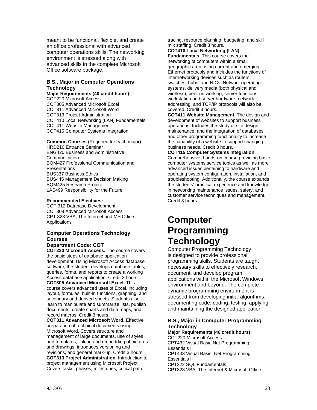meant to be functional, flexible, and create an office professional with advanced computer operations skills. The networking environment is stressed along with advanced skills in the complete Microsoft Office software package.

#### **B.S., Major in Computer Operations Technology**

**Major Requirements (40 credit hours):**  COT220 Microsoft Access COT305 Advanced Microsoft Excel COT311 Advanced Microsoft Word COT313 Project Administration COT410 Local Networking (LAN) Fundamentals COT411 Website Management COT415 Computer Systems Integration

**Common Courses** (Required for each major): HRD210 Entrance Seminar ENG420 Business and Administrative **Communication** BQM427 Professional Communication and **Presentations** BUS337 Business Ethics BUS445 Management Decision Making BQM425 Research Project LAS499 Responsibility for the Future

#### **Recommended Electives:**

COT 312 Database Development COT308 Advanced Microsoft Access CPT 323 VBA, The Internet and MS Office **Applications** 

#### **Computer Operations Technology Courses**

#### **Department Code: COT**

**COT220 Microsoft Access.** The course covers the basic steps of database application development. Using Microsoft Access database software, the student develops database tables, queries, forms, and reports to create a working Access database application. Credit 3 hours. **COT305 Advanced Microsoft Excel.** This course covers advanced uses of Excel, including layout, formulas, built-in functions, graphing, and secondary and derived sheets. Students also learn to manipulate and summarize lists, publish documents, create charts and data maps, and record macros. Credit 3 hours.

**COT311 Advanced Microsoft Word.** Effective preparation of technical documents using Microsoft Word. Covers structure and management of large documents, use of styles and templates, linking and embedding of pictures and drawings, introduces versioning and revisions, and general mark-up. Credit 3 hours. **COT313 Project Administration.** Introduction to project management using Microsoft Project. Covers tasks, phases, milestones, critical path

tracing, resource planning, budgeting, and skill mix staffing. Credit 3 hours.

**COT410 Local Networking (LAN) Fundamentals.** This course covers the networking of computers within a small geographic area using current and emerging Ethernet protocols and includes the functions of internetworking devices such as routers, switches, hubs, and NICs. Network operating systems, delivery media (both physical and wireless), peer networking, server functions, workstation and server hardware, network addressing, and TCP/IP protocols will also be

covered. Credit 3 hours. **COT411 Website Management.** The design and development of websites to support business operations. Includes the study of site design, maintenance, and the integration of databases and other programming functionality to increase the capability of a website to support changing business needs. Credit 3 hours.

**COT415 Computer Systems Integration**. Comprehensive, hands-on course providing basic computer systems service topics as well as more advanced issues pertaining to hardware and operating system configuration, installation, and troubleshooting. Additionally, the course expands the students' practical experience and knowledge in networking maintenance issues, safety, and customer service techniques and management. Credit 3 hours.

### **Computer Programming Technology**

Computer Programming Technology is designed to provide professional programming skills. Students are taught necessary skills to effectively research, document, and develop program applications within the Microsoft Windows environment and beyond. The complete dynamic programming environment is stressed from developing initial algorithms, documenting code, coding, testing, applying and maintaining the designed application.

#### **B.S., Major in Computer Programming Technology**

**Major Requirements (46 credit hours):**  COT220 Microsoft Access CPT432 Visual Basic.Net Programming Essentials I. CPT433 Visual Basic. Net Programming Essentials II CPT322 SQL Fundamentals CPT323 VBA, The Internet & Microsoft Office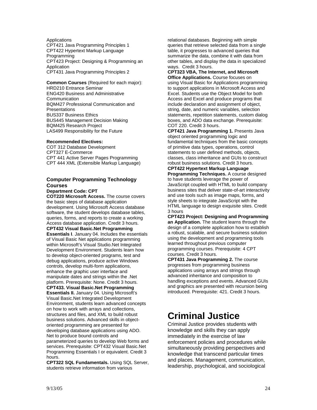**Applications** CPT421 Java Programming Principles 1 CPT422 Hypertext Markup Language **Programming** CPT423 Project: Designing & Programming an Application CPT431 Java Programming Principles 2

**Common Courses** (Required for each major): HRD210 Entrance Seminar ENG420 Business and Administrative **Communication** BQM427 Professional Communication and Presentations BUS337 Business Ethics BUS445 Management Decision Making BQM425 Research Project LAS499 Responsibility for the Future

#### **Recommended Electives:**

COT 312 Database Development CPT327 E-Commerce CPT 441 Active Server Pages Programming CPT 444 XML (Extensible Markup Language)

#### **Computer Programming Technology Courses**

#### **Department Code: CPT**

**COT220 Microsoft Access.** The course covers the basic steps of database application development. Using Microsoft Access database software, the student develops database tables, queries, forms, and reports to create a working Access database application. Credit 3 hours. **CPT432 Visual Basic.Net Programming Essentials I**. January 04. Includes the essentials of Visual Basic Net applications programming within Microsoft's Visual Studio.Net Integrated Development Environment. Students learn how to develop object-oriented programs, test and debug applications, produce active Windows controls, develop multi-form applications, enhance the graphic user interface and manipulate dates and strings within the .Net platform. Prerequisite: None. Credit 3 hours. **CPT433. Visual Basic.Net Programming Essentials II.** January 04. Using Microsoft's Visual Basic.Net Integrated Development Environment, students learn advanced concepts on how to work with arrays and collections, structures and files, and XML to build robust business solutions. Advanced skills in objectoriented programming are presented for developing database applications using ADO. Net to produce bound controls and parameterized queries to develop Web forms and

services. Prerequisite: CPT432 Visual Basic.Net Programming Essentials I or equivalent. Credit 3 hours.

**CPT322 SQL Fundamentals.** Using SQL Server, students retrieve information from various

relational databases. Beginning with simple queries that retrieve selected data from a single table, it progresses to advanced queries that summarize the data, combine it with data from other tables, and display the data in specialized ways. Credit 3 hours.

**CPT323 VBA, The Internet, and Microsoft Office Applications.** Course focuses on using Visual Basic for Applications programming to support applications in Microsoft Access and Excel. Students use the Object Model for both Access and Excel and produce programs that include declaration and assignment of object, string, date, and numeric variables, selection statements, repetition statements, custom dialog boxes, and ADO data exchange. Prerequisite: COT 220. Credit 3 hours.

**CPT421 Java Programming 1.** Presents Java object oriented programming logic and fundamental techniques from the basic concepts of primitive data types, operations, control statements to user defined methods, objects, classes, class inheritance and GUIs to construct robust business solutions. Credit 3 hours.

**CPT422 Hypertext Markup Language Programming Techniques.** A course designed to have students leverage the power of JavaScript coupled with HTML to build company business sites that deliver state-of-art interactivity and use tools such as image maps, forms, and style sheets to integrate JavaScript with the HTML language to design exquisite sites. Credit 3 hours

**CPT423 Project: Designing and Programming an Application.** The student learns through the design of a complete application how to establish a robust, scalable, and secure business solution using the development and programming tools learned throughout previous computer programming courses. Prerequisite: 4 CPT courses. Credit 3 hours.

**CPT431 Java Programming 2.** The course progresses from programming business applications using arrays and strings through advanced inheritance and composition to handling exceptions and events. Advanced GUIs and graphics are presented with recursion being introduced. Prerequisite: 421. Credit 3 hours.

### **Criminal Justice**

Criminal Justice provides students with knowledge and skills they can apply immediately in the exercise of law enforcement policies and procedures while simultaneously providing perspectives and knowledge that transcend particular times and places. Management, communication, leadership, psychological, and sociological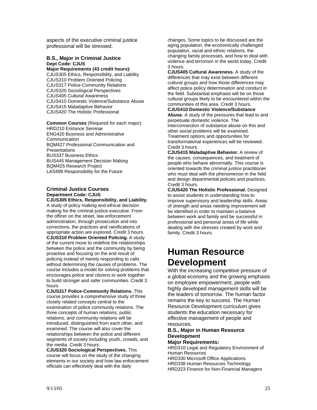aspects of the executive criminal justice professional will be stressed.

#### **B.S., Major in Criminal Justice Dept Code: CJUS**

**Major Requirements (43 credit hours):**  CJUS305 Ethics, Responsibility, and Liability CJUS310 Problem Oriented Policing CJUS317 Police-Community Relations CJUS320 Sociological Perspectives CJUS405 Cultural Awareness CJUS410 Domestic Violence/Substance Abuse CJUS415 Maladaptive Behavior CJUS420 The Holistic Professional

**Common Courses** (Required for each major): HRD210 Entrance Seminar ENG420 Business and Administrative Communication BQM427 Professional Communication and **Presentations** BUS337 Business Ethics BUS445 Management Decision Making BQM425 Research Project LAS499 Responsibility for the Future

#### **Criminal Justice Courses Department Code: CJUS CJUS305 Ethics, Responsibility, and Liability.**

A study of policy making and ethical decision making for the criminal justice executive. From the officer on the street, law enforcement administration, through prosecution and into corrections, the practices and ramifications of appropriate action are explored. Credit 3 hours. **CJUS310 Problem Oriented Policing.** A study of the current move to redefine the relationships between the police and the community by being proactive and focusing on the end result of policing instead of merely responding to calls without determining the causes of problems. The course includes a model for solving problems that encourages police and citizens to work together to build stronger and safer communities. Credit 3 hours.

**CJUS317 Police-Community Relations.** This course provides a comprehensive study of three closely related concepts central to the examination of police community relations. The three concepts of human relations, public relations, and community relations will be introduced, distinguished from each other, and examined. The course will also cover the relationships between the police and different segments of society including youth, crowds, and the media. Credit 3 hours.

**CJUS320 Sociological Perspectives.** This course will focus on the study of the changing elements in our society and how law enforcement officials can effectively deal with the daily

changes. Some topics to be discussed are the aging population, the economically challenged population, racial and ethnic relations, the changing family processes, and how to deal with violence and terrorism in the world today. Credit 3 hours.

**CJUS405 Cultural Awareness.** A study of the differences that may exist between different cultural groups and how those differences may affect police policy determination and conduct in the field. Substantial emphasis will be on those cultural groups likely to be encountered within the communities of this area. Credit 3 hours. **CJUS410 Domestic Violence/Substance** 

**Abuse.** A study of the pressures that lead to and perpetuate domestic violence. The interconnection of substance abuse on this and other social problems will be examined. Treatment options and opportunities for transformational experiences will be reviewed. Credit 3 hours.

**CJUS415 Maladaptive Behavior.** A review of the causes, consequences, and treatment of people who behave abnormally. This course is oriented towards the criminal justice practitioner who must deal with the phenomenon in the field and design departmental policies and practices. Credit 3 hours.

**CJUS420 The Holistic Professional.** Designed to assist students in understanding how to improve supervisory and leadership skills. Areas of strength and areas needing improvement will be identified in order to maintain a balance between work and family and be successful in professional and personal areas of life while dealing with the stresses created by work and family. Credit 3 hours.

## **Human Resource Development**

With the increasing competitive pressure of a global economy and the growing emphasis on employee empowerment, people with highly developed management skills will be the leaders of tomorrow. The human factor remains the key to success. The Human Resource Development curriculum gives students the education necessary for effective management of people and resources.

#### **B.S., Major in Human Resource Development**

#### **Major Requirements:**

HRD310 Legal and Regulatory Environment of Human Resources HRD330 Microsoft Office Applications HRD338 Human Resources Technology HRD323 Finance for Non-Financial Managers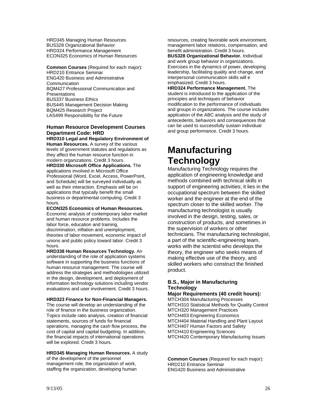HRD345 Managing Human Resources BUS328 Organizational Behavior HRD324 Performance Management ECON325 Economics of Human Resources

**Common Courses** (Required for each major): HRD210 Entrance Seminar ENG420 Business and Administrative **Communication** BQM427 Professional Communication and **Presentations** BUS337 Business Ethics BUS445 Management Decision Making BQM425 Research Project LAS499 Responsibility for the Future

#### **Human Resource Development Courses Department Code: HRD**

**HRD310 Legal and Regulatory Environment of Human Resources.** A survey of the various levels of government statutes and regulations as they affect the human resource function in modern organizations. Credit 3 hours. **HRD330 Microsoft Office Applications.** The applications involved in Microsoft Office Professional (Word, Excel, Access, PowerPoint, and Schedule) will be surveyed individually as well as their interaction. Emphasis will be on applications that typically benefit the small business or departmental computing. Credit 3 hours.

**ECON325 Economics of Human Resources.**  Economic analysis of contemporary labor market and human resource problems. Includes the labor force, education and training, discrimination, inflation and unemployment, theories of labor movement, economic impact of unions and public policy toward labor. Credit 3 hours.

**HRD338 Human Resources Technology.** An understanding of the role of application systems software in supporting the business functions of human resource management. The course will address the strategies and methodologies utilized in the design, development, and deployment of information technology solutions including vendor evaluations and user involvement. Credit 3 hours.

**HRD323 Finance for Non-Financial Managers.** 

The course will develop an understanding of the role of finance in the business organization. Topics include ratio analysis, creation of financial statements, sources of funds for financial operations, managing the cash flow process, the cost of capital and capital budgeting. In addition, the financial impacts of international operations will be explored. Credit 3 hours.

#### **HRD345 Managing Human Resources.** A study of the development of the personnel

management role, the organization of work, staffing the organization, developing human resources, creating favorable work environment, management labor relations, compensation, and benefit administration. Credit 3 hours. **BUS328 Organizational Behavior.** Individual and work group behavior in organizations.

Exercises in the dynamics of power, developing leadership, facilitating quality and change, and interpersonal communication skills will e emphasized. Credit 3 hours.

**HRD324 Performance Management.** The student is introduced to the application of the principles and techniques of behavior modification to the performance of individuals and groups in organizations. The course includes application of the ABC analysis and the study of antecedents, behaviors and consequences that can be used to successfully sustain individual and group performance. Credit 3 hours.

# **Manufacturing Technology**

Manufacturing Technology requires the application of engineering knowledge and methods combined with technical skills in support of engineering activities; it lies in the occupational spectrum between the skilled worker and the engineer at the end of the spectrum closer to the skilled worker. The manufacturing technologist is usually involved in the design, testing, sales, or construction of products, and sometimes in the supervision of workers or other technicians. The manufacturing technologist, a part of the scientific-engineering team, works with the scientist who develops the theory, the engineer who seeks means of making effective use of the theory, and skilled workers who construct the finished product.

#### **B.S., Major in Manufacturing Technology**

#### **Major Requirements (40 credit hours):**  MTCH304 Manufacturing Processes

MTCH310 Statistical Methods for Quality Control MTCH320 Management Practices MTCH403 Engineering Economics MTCH404 Material Handling and Plant Layout MTCH407 Human Factors and Safety MTCH410 Engineering Sciences MTCH420 Contemporary Manufacturing Issues

**Common Courses** (Required for each major): HRD210 Entrance Seminar ENG420 Business and Administrative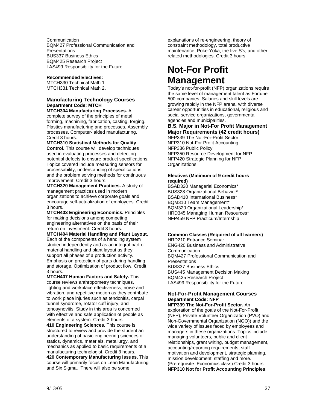**Communication** BQM427 Professional Communication and **Presentations** BUS337 Business Ethics BQM425 Research Project LAS499 Responsibility for the Future

#### **Recommended Electives:**

MTCH330 Technical Math 1. MTCH331 Technical Math 2**.**

#### **Manufacturing Technology Courses Department Code: MTCH**

**MTCH304 Manufacturing Processes.** A complete survey of the principles of metal forming, machining, fabrication, casting, forging. Plastics manufacturing and processes. Assembly processes. Computer- aided manufacturing. Credit 3 hours.

**MTCH310 Statistical Methods for Quality Control.** This course will develop techniques used in evaluating processes and detecting potential defects to ensure product specifications. Topics covered include measuring sensors for processability, understanding of specifications, and the problem solving methods for continuous improvement. Credit 3 hours.

**MTCH320 Management Practices.** A study of management practices used in modern organizations to achieve corporate goals and encourage self-actualization of employees. Credit 3 hours.

**MTCH403 Engineering Economics.** Principles for making decisions among competing engineering alternatives on the basis of their return on investment. Credit 3 hours.

**MTCH404 Material Handling and Plant Layout.**  Each of the components of a handling system studied independently and as an integral part of material handling and plant layout as they support all phases of a production activity. Emphasis on protection of parts during handling and storage. Optimization of product flow. Credit 3 hours.

**MTCH407 Human Factors and Safety.** This course reviews anthropometry techniques, lighting and workplace effectiveness, noise and vibration, and repetitive motion as they contribute to work place injuries such as tendonitis, carpal tunnel syndrome, rotator cuff injury, and tenosynovitis. Study in this area is concerned with effective and safe application of people as elements of a system. Credit 3 hours.

**410 Engineering Sciences.** This course is structured to review and provide the student an understanding of basic engineering sciences of statics, dynamics, materials, metallurgy, and mechanics as applied to basic requirements of a manufacturing technologist. Credit 3 hours.

**420 Contemporary Manufacturing Issues.** This course will primarily focus on Lean Manufacturing and Six Sigma. There will also be some

explanations of re-engineering, theory of constraint methodology, total productive maintenance, Poke-Yoka, the five S's, and other related methodologies. Credit 3 hours.

# **Not-For Profit Management**

Today's not-for-profit (NFP) organizations require the same level of management talent as Fortune 500 companies. Salaries and skill levels are growing rapidly in the NFP arena, with diverse career opportunities in educational, religious and social service organizations, governmental agencies and municipalities.

#### **B.S. Major in Not-For Profit Management Major Requirements (42 credit hours)**

NFP339 The Not-For-Profit Sector NFP310 Not-For Profit Accounting NFP336 Public Policy NFP350 Resource Development for NFP NFP420 Strategic Planning for NFP Organizations.

#### **Electives (Minimum of 9 credit hours required)**

BSAD320 Managerial Economics\* BUS328 Organizational Behavior\* BSAD410 International Business\* BQM310 Team Management\* BQM320 Organizational Leadership\* HRD345 Managing Human Resources\* NFP459 NFP Practicum/Internship

#### **Common Classes (Required of all learners)**

HRD210 Entrance Seminar ENG420 Business and Administrative **Communication** BQM427 Professional Communication and **Presentations** BUS337 Business Ethics BUS445 Management Decision Making BQM425 Research Project LAS499 Responsibility for the Future

#### **Not-For-Profit Management Courses Department Code: NFP**

**NFP339 The Not-For-Profit Sector.** An exploration of the goals of the Not-For-Profit (NFP), Private Volunteer Organization (PVO) and Non-Governmental Organization (NGO)) and the wide variety of issues faced by employees and managers in these organizations. Topics include managing volunteers, public and client relationships, grant writing, budget management, accounting/reporting requirements, staff motivation and development, strategic planning, mission development, staffing and more. (Prerequisite: Economics class).Credit 3 hours. **NFP310 Not for Profit Accounting Principles**.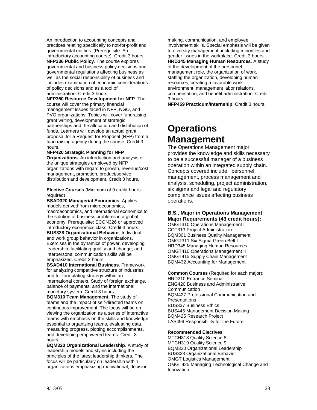An introduction to accounting concepts and practices relating specifically to not-for-profit and governmental entities. (Prerequisite: An introductory accounting course). Credit 3 hours. **NFP336 Public Policy**. The course explores governmental and business policy decisions and governmental regulations affecting business as well as the social responsibility of business and includes examination of economic considerations of policy decisions and as a tool of administration. Credit 3 hours.

**NFP350 Resource Development for NFP**. The course will cover the primary financial management issues faced in NFP, NGO, and PVO organizations. Topics will cover fundraising. grant writing, development of strategic partnerships and the allocation and distribution of funds. Learners will develop an actual grant proposal for a Request for Proposal (RFP) from a fund raising agency during the course. Credit 3 hours.

#### **NFP420 Strategic Planning for NFP**

**Organizations.** An introduction and analysis of the unique strategies employed by NFP organizations with regard to growth, revenue/cost management, promotion, product/service distribution and development. Credit 3 hours.

**Elective Courses** (Minimum of 9 credit hours required)

**BSAD320 Managerial Economics**. Applies models derived from microeconomics, macroeconomics, and international economics to the solution of business problems in a global economy. Prerequisite: ECON326 or approved introductory economics class. Credit 3 hours. **BUS328 Organizational Behavior**. Individual and work group behavior in organizations. Exercises in the dynamics of power, developing leadership, facilitating quality and change, and interpersonal communication skills will be emphasized. Credit 3 hours.

**BSAD410 International Business**. Framework for analyzing competitive structure of industries and for formulating strategy within an international context. Study of foreign exchange, balance of payments, and the international monetary system. Credit 3 hours.

**BQM310 Team Management.** The study of teams and the impact of self-directed teams on continuous improvement. The focus will be on viewing the organization as a series of interactive teams with emphasis on the skills and knowledge essential to organizing teams, evaluating data, measuring progress, plotting accomplishments, and developing empowered teams. Credit 3 hours.

**BQM320 Organizational Leadership**. A study of leadership models and styles including the principles of the latest leadership thinkers. The focus will be particularly on leadership within organizations emphasizing motivational, decision

making, communication, and employee involvement skills. Special emphasis will be given to diversity management, including minorities and gender issues in the workplace. Credit 3 hours. **HRD345 Managing Human Resources**. A study of the development of the personnel management role, the organization of work, staffing the organization, developing human resources, creating a favorable work

environment, management labor relations, compensation, and benefit administration. Credit 3 hours.

**NFP459 Practicum/Internship**. Credit 3 hours.

### **Operations Management**

The Operations Management major provides the knowledge and skills necessary to be a successful manager of a business operation within an integrated supply chain. Concepts covered include: personnel management, process management and analysis, scheduling, project administration, six sigma and legal and regulatory compliance issues affecting business operations.

#### **B.S., Major in Operations Management Major Requirements (43 credit hours):**

OMGT310 Operations Management I COT313 Project Administration BQM301 Business Quality Management OMGT311 Six Sigma Green Belt I HRD345 Managing Human Resources OMGT410 Operations Management II OMGT415 Supply Chain Management BQM432 Accounting for Management

**Common Courses** (Required for each major): HRD210 Entrance Seminar ENG420 Business and Administrative **Communication** BQM427 Professional Communication and **Presentations** BUS337 Business Ethics BUS445 Management Decision Making BQM425 Research Project LAS499 Responsibility for the Future

#### **Recommended Electives**

MTCH318 Quality Science 8 MTCH319 Quality Science 9 BQM320 Organizational Leadership BUS328 Organizational Behavior OMGT Logistics Management OMGT425 Managing Technological Change and Innovation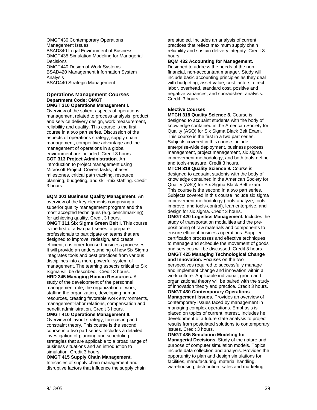OMGT430 Contemporary Operations Management Issues BSAD340 Legal Environment of Business OMGT435 Simulation Modeling for Managerial **Decisions** OMGT440 Design of Work Systems BSAD420 Management Information System Analysis BSAD440 Strategic Management

#### **Operations Management Courses Department Code: OMGT**

**OMGT 310 Operations Management I.**  Overview of the salient aspects of operations management related to process analysis, product and service delivery design, work measurement**,**  reliability and quality. This course is the first course in a two part series. Discussion of the aspects of operations strategy, supply chain management, competitive advantage and the management of operations in a global environment are included. Credit 3 hours. **COT 313 Project Administration.** An introduction to project management using Microsoft Project. Covers tasks, phases, milestones, critical path tracking, resource planning, budgeting, and skill-mix staffing. Credit 3 hours.

**BQM 301 Business Quality Management.** An overview of the key elements comprising a superior quality management program and the most accepted techniques (e.g. benchmarking) for achieving quality. Credit 3 hours. **OMGT 311 Six Sigma Green Belt I.** This course is the first of a two part series to prepare professionals to participate on teams that are designed to improve, redesign, and create efficient, customer-focused business processes. It will provide an understanding of how Six Sigma integrates tools and best practices from various disciplines into a more powerful system of management. The teaming aspects critical to Six Sigma will be described. Credit 3 hours. **HRD 345 Managing Human Resources.** A study of the development of the personnel

management role, the organization of work, staffing the organization, developing human resources, creating favorable work environments, management-labor relations, compensation and benefit administration. Credit 3 hours.

**OMGT 410 Operations Management II.**  Overview of layout strategy, forecasting and constraint theory. This course is the second course in a two part series. Includes a detailed investigation of planning and scheduling strategies that are applicable to a broad range of business situations and an introduction to simulation. Credit 3 hours.

**OMGT 415 Supply Chain Management.**  Intricacies of supply chain management and disruptive factors that influence the supply chain are studied. Includes an analysis of current practices that reflect maximum supply chain reliability and sustain delivery integrity. Credit 3 hours.

#### **BQM 432 Accounting for Management.**

Designed to address the needs of the nonfinancial, non-accountant manager. Study will include basic accounting principles as they deal with budgeting, asset value, cost factors, direct labor, overhead, standard cost, positive and negative variances, and spreadsheet analysis. Credit 3 hours.

#### **Elective Courses**

**MTCH 318 Quality Science 8.** Course is designed to acquaint students with the body of knowledge contained in the American Society for Quality (ASQ) for Six Sigma Black Belt Exam. This course is the first in a two part series. Subjects covered in this course include enterprise-wide deployment, business process management, project management, six sigma improvement methodology, and both tools-define and tools-measure. Credit 3 hours.

**MTCH 319 Quality Science 9.** Course is designed to acquaint students with the body of knowledge contained in the American Society for Quality (ASQ) for Six Sigma Black Belt exam. This course is the second in a two part series. Subjects covered in this course include six sigma improvement methodology (tools-analyze, toolsimprove, and tools-control), lean enterprise, and design for six sigma. Credit 3 hours.

**OMGT 420 Logistics Management.** Includes the study of transportation modalities and the prepositioning of raw materials and components to ensure efficient business operations. Supplier certification processes and effective techniques to manage and schedule the movement of goods and services will be discussed. Credit 3 hours.

**OMGT 425 Managing Technological Change and Innovation.** Focuses on the two perspectives required to successfully manage and implement change and innovation within a work culture. Applicable individual, group and organizational theory will be paired with the study of innovation theory and practice. Credit 3 hours.

**OMGT 430 Contemporary Operations Management Issues.** Provides an overview of contemporary issues faced by management in managing complex operations. Emphasis is placed on topics of current interest. Includes he development of a future state analysis to project results from postulated solutions to contemporary issues. Credit 3 hours.

**OMGT 435 Simulation Modeling for Managerial Decisions.** Study of the nature and purpose of computer simulation models. Topics include data collection and analysis. Provides the opportunity to plan and design simulations for facilities, manufacturing, material handling, warehousing, distribution, sales and marketing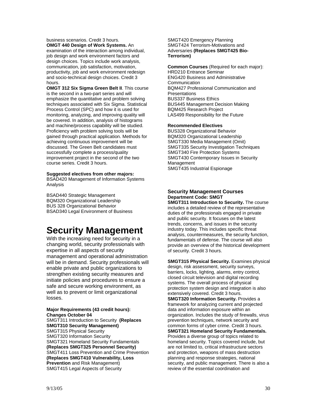business scenarios. Credit 3 hours. **OMGT 440 Design of Work Systems.** An examination of the interaction among individual, job design and work environment factors and design choices. Topics include work analysis, communication, job satisfaction, motivation, productivity, job and work environment redesign and socio-technical design choices. Credit 3 hours.

**OMGT 312 Six Sigma Green Belt II**. This course is the second in a two-part series and will emphasize the quantitative and problem solving techniques associated with Six Sigma. Statistical Process Control (SPC) and how it is used for monitoring, analyzing, and improving quality will be covered. In addition, analysis of histograms and machine/process capability will be studied. Proficiency with problem solving tools will be gained through practical application. Methods for achieving continuous improvement will be discussed. The Green Belt candidates must successfully complete a process/quality improvement project in the second of the two course series. Credit 3 hours.

#### **Suggested electives from other majors:**

BSAD420 Management of Information Systems Analysis

BSAD440 Strategic Management BQM320 Organizational Leadership BUS 328 Organizational Behavior BSAD340 Legal Environment of Business

### **Security Management**

With the increasing need for security in a changing world, security professionals with expertise in all aspects of security management and operational administration will be in demand. Security professionals will enable private and public organizations to strengthen existing security measures and initiate policies and procedures to ensure a safe and secure working environment, as well as to prevent or limit organizational losses.

#### **Major Requirements (43 credit hours): Changes October 04**  SMGT311 Introduction to Security **(Replaces**

**SMGT310 Security Management)**  SMGT315 Physical Security SMGT320 Information Security SMGT321 Homeland Security Fundamentals **(Replaces SMGT325 Personnel Security)**  SMGT411 Loss Prevention and Crime Prevention **(Replaces SMGT410 Vulnerability, Loss Prevention** and Risk Management) SMGT415 Legal Aspects of Security

SMGT420 Emergency Planning SMGT424 Terrorism-Motivations and Adversaries **(Replaces SMGT425 Bio-Terrorism)** 

#### **Common Courses** (Required for each major): HRD210 Entrance Seminar ENG420 Business and Administrative **Communication** BQM427 Professional Communication and **Presentations**

BUS337 Business Ethics BUS445 Management Decision Making BQM425 Research Project LAS499 Responsibility for the Future

#### **Recommended Electives**

BUS328 Organizational Behavior BQM320 Organizational Leadership SMGT330 Media Management (Omit) SMGT335 Security Investigation Techniques SMGT340 Fire Protection Systems SMGT430 Contemporary Issues in Security **Management** SMGT435 Industrial Espionage

#### **Security Management Courses Department Code: SMGT**

**SMGT311 Introduction to Security.** The course includes a detailed review of the representative duties of the professionals engaged in private and public security. It focuses on the latest trends, concerns, and issues in the security industry today. This includes specific threat analysis, countermeasures, the security function, fundamentals of defense. The course will also provide an overview of the historical development of security. Credit 3 hours.

**SMGT315 Physical Security.** Examines physical design, risk assessment, security surveys, barriers, locks, lighting, alarms, entry control, closed circuit television and digital recording systems. The overall process of physical protection system design and integration is also extensively covered. Credit 3 hours. **SMGT320 Information Security. Provides a** framework for analyzing current and projected

data and information exposure within an organization. Includes the study of firewalls, virus prevention techniques, network security and common forms of cyber crime. Credit 3 hours. **SMGT321 Homeland Security Fundamentals.**  Provides a diverse group of topics related to homeland security. Topics covered include, but are not limited to, critical infrastructure sectors and protection, weapons of mass destruction planning and response strategies, national security, and public management. There is also a review of the essential coordination and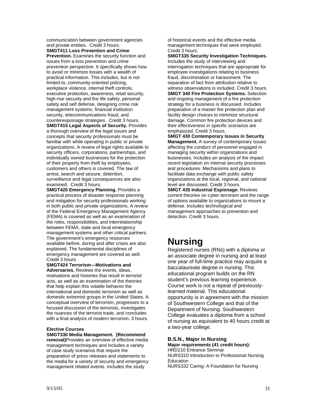communication between government agencies and private entities. Credit 3 hours.

**SMGT411 Loss Prevention and Crime Prevention.** Examines the security function and issues from a loss prevention and crime prevention perspective. It specifically shows how to avoid or minimize losses with a wealth of practical information. This includes, but is not limited to, community-oriented policing, workplace violence, internal theft controls, executive protection, awareness, retail security, high-rise security and fire life safety, personal safety and self defense, designing crime risk management systems, financial institution security, telecommunications fraud, and counterespionage strategies. Credit 3 hours.

**SMGT415 Legal Aspects of Security.** Provides a thorough overview of the legal issues and concepts that security professionals must be familiar with while operating in public or private organizations. A review of legal rights available to security officers, corporations, partnerships, and individually owned businesses for the protection of their property from theft by employees, customers and others is covered. The law of arrest, search and seizure, detention, surveillance and legal consequences are also examined. Credit 3 hours.

**SMGT420 Emergency Planning.** Provides a practical process of disaster response planning and mitigation for security professionals working in both public and private organizations. A review of the Federal Emergency Management Agency (FEMA) is covered as well as an examination of the roles, responsibilities, and interrelationship between FEMA, state and local emergency management systems and other critical partners. The government's emergency resources available before, during and after crises are also explained. The fundamental disciplines of emergency management are covered as well. Credit 3 hours.

**SMGT424 Terrorism—Motivations and Adversaries.** Reviews the events, ideas, motivations and histories that result in terrorist acts, as well as an examination of the theories that help explain this volatile behavior the international and domestic terrorism as well as domestic extremist groups in the United States. A conceptual overview of terrorism, progresses to a focused discussion of the terrorists, investigates the nuances of the terrorist trade, and concludes with a final analysis of modern terrorism. 3 hours.

#### **Elective Courses**

**SMGT330 Media Management. (Recommend removal)**Provides an overview of effective media management techniques and includes a variety of case study scenarios that require the preparation of press releases and statements to the media for a variety of security and emergency management related events. Includes the study

of historical events and the effective media management techniques that were employed. Credit 3 hours.

**SMGT335 Security Investigation Techniques.**  Includes the study of interviewing and interrogation techniques that are appropriate for employee investigations relating to business fraud, discrimination or harassment. The separation of fact from attribution relative to witness observations is included. Credit 3 hours. **SMGT 340 Fire Protection Systems.** Selection and ongoing management of a fire protection strategy for a business is discussed. Includes preparation of a master fire protection plan and facility design choices to minimize structural damage. Common fire protection devices and their effectiveness in specific scenarios are emphasized. Credit 3 hours.

**SMGT 430 Contemporary Issues in Security Management.** A survey of contemporary issues affecting the conduct of personnel engaged in managing security within organizations and businesses. Includes an analysis of the impact recent legislation on internal security processes and procedures. Mechanisms and plans to facilitate data exchange with public safety organizations at the local, regional, and national level are discussed. Credit 3 hours. **SMGT 435 Industrial Espionage.** Reviews

current theories on cyber terrorism and the range of options available to organizations to mount a defense. Includes technological and management approaches to prevention and detection. Credit 3 hours.

## **Nursing**

Registered nurses (RNs) with a diploma or an associate degree in nursing and at least one year of full-time practice may acquire a baccalaureate degree in nursing. This educational program builds on the RN student's previous learning experience. Course work is not a repeat of previouslylearned material. This educational opportunity is in agreement with the mission of Southwestern College and that of the Department of Nursing. Southwestern College evaluates a diploma from a school of nursing as equivalent to 40 hours credit at a two-year college.

#### **B.S.N., Major in Nursing Major requirements (41 credit hours):**

HRD210 Entrance Seminar NURS310 Introduction to Professional Nursing Education NURS332 Caring: A Foundation for Nursing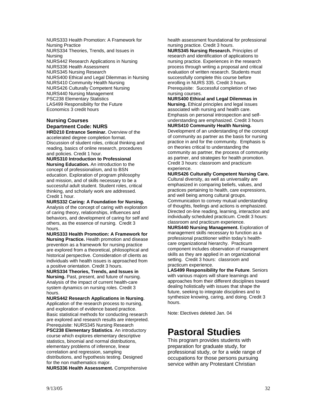NURS333 Health Promotion: A Framework for Nursing Practice NURS334 Theories, Trends, and Issues in Nursing NURS442 Research Applications in Nursing NURS336 Health Assessment NURS345 Nursing Research NURS400 Ethical and Legal Dilemmas in Nursing NURS410 Community Health Nursing NURS426 Culturally Competent Nursing NURS440 Nursing Management PSC238 Elementary Statistics LAS499 Responsibility for the Future Economics 3 credit hours

#### **Nursing Courses Department Code: NURS HRD210 Entrance Seminar.** Overview of the

accelerated degree completion format. Discussion of student roles, critical thinking and reading, basics of online research, procedures and policies. Credit 1 hour.

**NURS310 Introduction to Professional Nursing Education.** An introduction to the concept of professionalism, and to BSN education. Exploration of program philosophy and mission, and of skills necessary to be a successful adult student. Student roles, critical thinking, and scholarly work are addressed. Credit 1 hour.

**NURS332 Caring: A Foundation for Nursing.**  Analysis of the concept of caring with exploration of caring theory, relationships, influences and behaviors, and development of caring for self and others, as the essence of nursing. Credit 3 hours.

**NURS333 Health Promotion: A Framework for Nursing Practice.** Health promotion and disease prevention as a framework for nursing practice are explored from a theoretical, philosophical and historical perspective. Consideration of clients as individuals with health issues is approached from a positive orientation. Credit 3 hours.

**NURS334 Theories, Trends, and Issues in Nursing.** Past, present, and future of nursing. Analysis of the impact of current health-care system dynamics on nursing roles. Credit 3 hours.

**NURS442 Research Applications in Nursing**. Application of the research process to nursing, and exploration of evidence based practice. Basic statistical methods for conducting research are explored and research results are interpreted. Prerequisite: NURS345 Nursing Research **PSC238 Elementary Statistics**. An introductory course which explores elementary descriptive statistics, binomial and normal distributions, elementary problems of inference, linear correlation and regression, sampling distributions, and hypothesis testing. Designed for the non mathematics major.

**NURS336 Health Assessment.** Comprehensive

health assessment foundational for professional nursing practice. Credit 3 hours.

**NURS345 Nursing Research.** Principles of research and identification of applications to nursing practice. Experiences in the research process through writing a proposal and critical evaluation of written research. Students must successfully complete this course before enrolling in NURS 335. Credit 3 hours. Prerequisite: Successful completion of two nursing courses.

**NURS400 Ethical and Legal Dilemmas in Nursing.** Ethical principles and legal issues associated with nursing and health care. Emphasis on personal introspection and selfunderstanding are emphasized. Credit 3 hours **NURS410 Community Health Nursing.** 

Development of an understanding of the concept of community as partner as the basis for nursing practice in and for the community. Emphasis is on theories critical to understanding the community as partner, the process of community as partner, and strategies for health promotion. Credit 3 hours: classroom and practicum experience.

**NURS426 Culturally Competent Nursing Care.**  Cultural diversity, as well as universality are emphasized in comparing beliefs, values, and practices pertaining to health, care expressions, and well being among cultural groups. Communication to convey mutual understanding of thoughts, feelings and actions is emphasized. Directed on-line reading, learning, interaction and individually scheduled practicum. Credit 3 hours: classroom and practicum experience.

**NURS440 Nursing Management.** Exploration of management skills necessary to function as a professional practitioner within today's healthcare organizational hierarchy. Practicum component includes observation of management skills as they are applied in an organizational setting. Credit 3 hours: classroom and practicum experience.

**LAS499 Responsibility for the Future**. Seniors with various majors will share learnings and approaches from their different disciplines toward dealing holistically with issues that shape the future, seeking to integrate disciplines and to synthesize knowing, caring, and doing. Credit 3 hours.

Note: Electives deleted Jan. 04

### **Pastoral Studies**

This program provides students with preparation for graduate study, for professional study, or for a wide range of occupations for those persons pursuing service within any Protestant Christian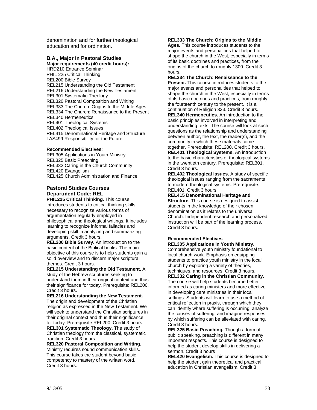denomination and for further theological education and for ordination.

#### **B.A., Major in Pastoral Studies**

**Major requirements (40 credit hours):**  HRD210 Entrance Seminar PHIL 225 Critical Thinking REL200 Bible Survey REL215 Understanding the Old Testament REL216 Understanding the New Testament REL301 Systematic Theology REL320 Pastoral Composition and Writing REL333 The Church: Origins to the Middle Ages REL334 The Church: Renaissance to the Present REL340 Hermeneutics REL401 Theological Systems REL402 Theological Issues REL415 Denominational Heritage and Structure LAS499 Responsibility for the Future

#### **Recommended Electives**:

REL305 Applications in Youth Ministry REL325 Basic Preaching REL332 Caring in the Church Community REL420 Evangelism REL425 Church Administration and Finance

#### **Pastoral Studies Courses Department Code: REL**

**PHIL225 Critical Thinking.** This course introduces students to critical thinking skills necessary to recognize various forms of argumentation regularly employed in philosophical and theological writings. It includes learning to recognize informal fallacies and developing skill in analyzing and summarizing arguments. Credit 3 hours.

**REL200 Bible Survey.** An introduction to the basic content of the Biblical books. The main objective of this course is to help students gain a solid overview and to discern major scriptural themes. Credit 3 hours.

**REL215 Understanding the Old Testament.** A study of the Hebrew scriptures seeking to understand them in their original context and thus their significance for today. Prerequisite: REL200. Credit 3 hours.

**REL216 Understanding the New Testament.**  The origin and development of the Christian religion as expressed in the New Testament. We will seek to understand the Christian scriptures in their original context and thus their significance for today. Prerequisite REL200. Credit 3 hours. **REL301 Systematic Theology.** The study of Christian theology from the classical, systematic

tradition. Credit 3 hours. **REL320 Pastoral Composition and Writing.** 

Ministry requires sound communication skills. This course takes the student beyond basic competency to mastery of the written word. Credit 3 hours.

#### **REL333 The Church: Origins to the Middle**

**Ages.** This course introduces students to the major events and personalities that helped to shape the church in the West, especially in terms of its basic doctrines and practices, from the origins of the church to roughly 1300. Credit 3 hours.

**REL334 The Church: Renaissance to the Present.** This course introduces students to the major events and personalities that helped to shape the church in the West, especially in terms of its basic doctrines and practices, from roughly the fourteenth century to the present. It is a continuation of Religion 333. Credit 3 hours. **REL340 Hermeneutics.** An introduction to the basic principles involved in interpreting and understanding texts. The course will look at such questions as the relationship and understanding between author, the text, the reader(s), and the community in which these materials come

together. Prerequisite: REL200. Credit 3 hours. **REL401 Theological Systems.** An introduction to the basic characteristics of theological systems in the twentieth century. Prerequisite: REL301. Credit 3 hours.

**REL402 Theological Issues.** A study of specific theological issues ranging from the sacraments to modern theological systems. Prerequisite: REL401. Credit 3 hours

**REL415 Denominational Heritage and Structure.** This course is designed to assist students in the knowledge of their chosen denomination as it relates to the universal Church. Independent research and personalized instruction will be part of the learning process. Credit 3 hours.

#### **Recommended Electives REL305 Applications in Youth Ministry.**

Comprehensive youth ministry foundational to local church work. Emphasis on equipping students to practice youth ministry in the local church by exploring a variety of theories, techniques, and resources. Credit 3 hours.

**REL332 Caring in the Christian Community.**  The course will help students become better informed as caring ministers and more effective in developing care ministries in their local settings. Students will learn to use a method of critical reflection in praxis, through which they can identify where suffering is occurring, analyze the causes of suffering, and imagine responses by which suffering can be alleviated with caring. Credit 3 hours.

**REL325 Basic Preaching.** Though a form of public speaking, preaching is different in many important respects. This course is designed to help the student develop skills in delivering a sermon. Credit 3 hours

**REL420 Evangelism.** This course is designed to help the student gain theoretical and practical education in Christian evangelism. Credit 3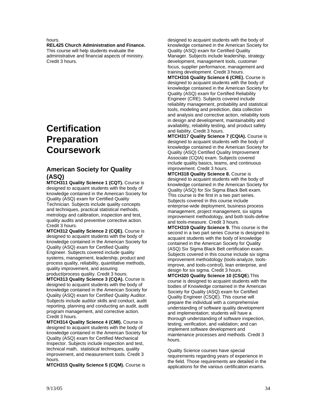#### hours.

#### **REL425 Church Administration and Finance.**

This course will help students evaluate the administrative and financial aspects of ministry. Credit 3 hours.

### **Certification Preparation Coursework**

#### **American Society for Quality (ASQ)**

**MTCH311 Quality Science 1 (CQT).** Course is designed to acquaint students with the body of knowledge contained in the American Society for Quality (ASQ) exam for Certified Quality Technician. Subjects include quality concepts and techniques, practical statistical methods, metrology and calibration, inspection and test, quality audits and preventive corrective action. Credit 3 hours.

**MTCH312 Quality Science 2 (CQE).** Course is designed to acquaint students with the body of knowledge contained in the American Society for Quality (ASQ) exam for Certified Quality Engineer. Subjects covered include quality systems, management, leadership, product and process quality, reliability, quantitative methods, quality improvement, and assuring

product/process quality. Credit 3 hours. **MTCH313 Quality Science 3 (CQA).** Course is designed to acquaint students with the body of knowledge contained in the American Society for Quality (ASQ) exam for Certified Quality Auditor. Subjects include auditor skills and conduct, audit reporting, planning and conducting an audit, audit program management, and corrective action. Credit 3 hours.

**MTCH314 Quality Science 4 (CMI).** Course is designed to acquaint students with the body of knowledge contained in the American Society for Quality (ASQ) exam for Certified Mechanical Inspector. Subjects include inspection and test, technical math, statistical techniques, quality improvement, and measurement tools. Credit 3 hours.

**MTCH315 Quality Science 5 (CQM).** Course is

designed to acquaint students with the body of knowledge contained in the American Society for Quality (ASQ) exam for Certified Quality Manager. Subjects include leadership, strategy development, management tools, customer focus, supplier performance, management and training development. Credit 3 hours.

**MTCH316 Quality Science 6 (CRE).** Course is designed to acquaint students with the body of knowledge contained in the American Society for Quality (ASQ) exam for Certified Reliability Engineer (CRE). Subjects covered include reliability management, probability and statistical tools, modeling and prediction, data collection and analysis and corrective action, reliability tools in design and development, maintainability and availability, reliability testing, and product safety and liability. Credit 3 hours.

**MTCH317 Quality Science 7 (CQIA).** Course is designed to acquaint students with the body of knowledge contained in the American Society for Quality (ASQ) Certified Quality Improvement Associate (CQIA) exam. Subjects covered include quality basics, teams, and continuous improvement. Credit 3 hours.

**MTCH318 Quality Science 8.** Course is designed to acquaint students with the body of knowledge contained in the American Society for Quality (ASQ) for Six Sigma Black Belt exam. This course is the first in a two part series. Subjects covered in this course include enterprise-wide deployment, business process management, project management, six sigma improvement methodology, and both tools-define and tools-measure. Credit 3 hours.

**MTCH319 Quality Science 9.** This course is the second in a two part series Course is designed to acquaint students with the body of knowledge contained in the American Society for Quality (ASQ) Six Sigma Black Belt certification exam. Subjects covered in this course include six sigma improvement methodology (tools-analyze, toolsimprove, and tools-control), lean enterprise, and design for six sigma. Credit 3 hours.

**MTCH320 Quality Science 10 (CSQE**).This course is designed to acquaint students with the bodies of Knowledge contained in the American Society for Quality (ASQ) exam for Certified Quality Engineer (CSQE). This course will prepare the individual with a comprehensive understanding of software quality development and implementation; students will have a thorough understanding of software inspection, testing, verification, and validation; and can implement software development and maintenance processes and methods. Credit 3 hours.

Quality Science courses have special requirements regarding years of experience in the field. Those requirements are detailed in the applications for the various certification exams.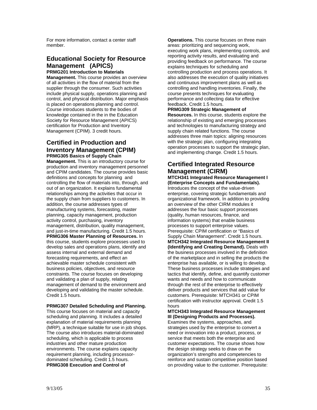For more information, contact a center staff member.

#### **Educational Society for Resource Management (APICS) PRMG201 Introduction to Materials**

**Management.** This course provides an overview of all activities in the flow of material from the supplier through the consumer. Such activities include physical supply, operations planning and control, and physical distribution. Major emphasis is placed on operations planning and control. Course introduces students to the bodies of knowledge contained in the in the Education Society for Resource Management (APICS) certification for Production and Inventory Management (CPIM). 3 credit hours.

#### **Certified in Production and Inventory Management (CPIM) PRMG305 Basics of Supply Chain**

**Management.** This is an introductory course for production and inventory management personnel and CPIM candidates. The course provides basic definitions and concepts for planning and controlling the flow of materials into, through, and out of an organization. It explains fundamental relationships among the activities that occur in the supply chain from suppliers to customers. In addition, the course addresses types of manufacturing systems, forecasting, master planning, capacity management, production activity control, purchasing, inventory management, distribution, quality management, and just-in-time manufacturing. Credit 1.5 hours. **PRMG306 Master Planning of Resources.** In this course, students explore processes used to develop sales and operations plans, identify and assess internal and external demand and forecasting requirements, and effect an achievable master schedule consistent with business policies, objectives, and resource constraints. The course focuses on developing and validating a plan of supply, relating management of demand to the environment and developing and validating the master schedule. Credit 1.5 hours.

#### **PRMG307 Detailed Scheduling and Planning.**

This course focuses on material and capacity scheduling and planning. It includes a detailed explanation of material requirements planning (MRP), a technique suitable for use in job shops. The course also introduces material-dominated scheduling, which is applicable to process industries and other mature production environments. The course explains capacity requirement planning, including processordominated scheduling. Credit 1.5 hours. **PRMG308 Execution and Control of**

**Operations.** This course focuses on three main areas: prioritizing and sequencing work, executing work plans, implementing controls, and reporting activity results, and evaluating and providing feedback on performance. The course explains techniques for scheduling and controlling production and process operations. It also addresses the execution of quality initiatives and continuous improvement plans as well as controlling and handling inventories. Finally, the course presents techniques for evaluating performance and collecting data for effective feedback. Credit 1.5 hours.

**PRMG309 Strategic Management of Resources.** In this course, students explore the relationship of existing and emerging processes and technologies to manufacturing strategy and supply chain related functions. The course addresses three main topics: aligning resources with the strategic plan, configuring integrating operation processes to support the strategic plan, and implementing change. Credit 1.5 hours.

#### **Certified Integrated Resource Management (CIRM)**

**MTCH341 Integrated Resource Management I (Enterprise Concepts and Fundamentals).**  Introduces the concept of the value-driven enterprise, covering strategic fundamentals and organizational framework. In addition to providing an overview of the other CIRM modules it addresses the four basic support processes (quality, human resources, finance, and information systems) that enable business processes to support enterprise values. Prerequisite: CPIM certification or "Basics of Supply Chain Management". Credit 1.5 hours. **MTCH342 Integrated Resource Management II (Identifying and Creating Demand).** Deals with the business processes involved in the definition of the marketplace and in selling the products the enterprise has available, or is willing to develop. These business processes include strategies and tactics that identify, define, and quantify customer wants and needs and how to communicate through the rest of the enterprise to effectively deliver products and services that add value for customers. Prerequisite: MTCH341 or CPIM certification with instructor approval. Credit 1.5 hours

**MTCH343 Integrated Resource Management III (Designing Products and Processes).**  Examines the systems, approaches, and strategies used by the enterprise to convert a need or innovation into a product, process, or service that meets both the enterprise and customer expectations. The course shows how the design strategy seeks to draw on the organization's strengths and competencies to reinforce and sustain competitive position based on providing value to the customer. Prerequisite: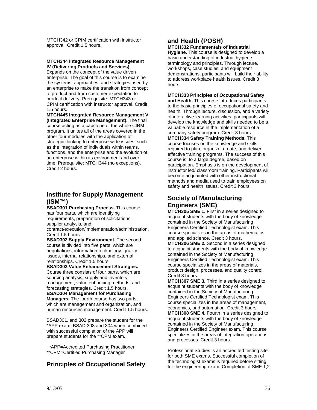MTCH342 or CPIM certification with instructor approval. Credit 1.5 hours.

#### **MTCH344 Integrated Resource Management IV (Delivering Products and Services).**

Expands on the concept of the value driven enterprise. The goal of this course is to examine the systems, approaches, and strategies used by an enterprise to make the transition from concept to product and from customer expectation to product delivery. Prerequisite: MTCH343 or CPIM certification with instructor approval. Credit 1.5 hours.

**MTCH445 Integrated Resource Management V (Integrated Enterprise Management).** The final course acting as a capstone of the whole CIRM program. It unites all of the areas covered in the other four modules with the application of strategic thinking to enterprise-wide issues, such as the integration of individuals within teams, functions, and the enterprise and the evolution of an enterprise within its environment and over time. Prerequisite: MTCH344 (no exceptions). Credit 2 hours.

#### **Institute for Supply Management (ISM™)**

**BSAD301 Purchasing Process.** This course has four parts, which are identifying requirements, preparation of solicitations, supplier analysis, and contract/execution/implementation/administration**.** 

Credit 1.5 hours.

**BSAD302 Supply Environment.** The second course is divided into five parts, which are negotiations, information technology, quality issues, internal relationships, and external relationships. Credit 1.5 hours.

**BSAD303 Value Enhancement Strategies.** Course three consists of four parts, which are sourcing analysis, supply and inventory management, value enhancing methods, and forecasting strategies. Credit 1.5 hours.

**BSAD304 Management for Purchasing Managers.** The fourth course has two parts, which are management and organization, and human resources management. Credit 1.5 hours.

BSAD301, and 302 prepare the student for the \*APP exam. BSAD 303 and 304 when combined with successful completion of the APP will prepare students for the \*\*CPM exam.

 \*APP=Accredited Purchasing Practitioner \*\*CPM=Certified Purchasing Manager

#### **Principles of Occupational Safety**

#### **and Health (POSH) MTCH332 Fundamentals of Industrial**

**Hygiene.** This course is designed to develop a basic understanding of industrial hygiene terminology and principles. Through lecture, workshops, case studies, and equipment demonstrations, participants will build their ability to address workplace health issues. Credit 3 hours.

#### **MTCH333 Principles of Occupational Safety**

**and Health.** This course introduces participants to the basic principles of occupational safety and health. Through lecture, discussion, and a variety of interactive learning activities, participants will develop the knowledge and skills needed to be a valuable resource in the implementation of a company safety program. Credit 3 hours. **MTCH334 Safety Training Methods.** This course focuses on the knowledge and skills required to plan, organize, create, and deliver effective training programs. The success of this course is, to a large degree, based on participation. Emphasis is on the development of instructor led/ classroom training. Participants will become acquainted with other instructional methods and media used to train employees on safety and health issues. Credit 3 hours.

#### **Society of Manufacturing Engineers (SME)**

**MTCH305 SME 1.** First in a series designed to acquaint students with the body of knowledge contained in the Society of Manufacturing Engineers Certified Technologist exam. This course specializes in the areas of mathematics and applied science. Credit 3 hours.

**MTCH306 SME 2.** Second in a series designed to acquaint students with the body of knowledge contained in the Society of Manufacturing Engineers Certified Technologist exam. This course specializes in the areas of materials, product design, processes, and quality control. Credit 3 hours.

**MTCH307 SME 3.** Third in a series designed to acquaint students with the body of knowledge contained in the Society of Manufacturing Engineers Certified Technologist exam. This course specializes in the areas of management, economics, and automation. Credit 3 hours. **MTCH308 SME 4.** Fourth in a series designed to acquaint students with the body of knowledge contained in the Society of Manufacturing Engineers Certified Engineer exam. This course specializes in the areas of integration operations, and processes. Credit 3 hours.

Professional Studies is an accredited testing site for both SME exams. Successful completion of the technologist exams is required before sitting for the engineering exam. Completion of SME 1,2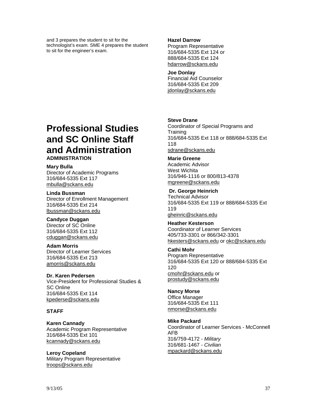and 3 prepares the student to sit for the technologist's exam. SME 4 prepares the student to sit for the engineer's exam.

#### **Hazel Darrow**

Program Representative 316/684-5335 Ext 124 or 888/684-5335 Ext 124 hdarrow@sckans.edu

#### **Joe Donlay**

Financial Aid Counselor 316/684-5335 Ext 209 jdonlay@sckans.edu

### **Professional Studies and SC Online Staff and Administration ADMINISTRATION**

#### **Mary Bulla**

Director of Academic Programs 316/684-5335 Ext 117 mbulla@sckans.edu

#### **Linda Bussman**

Director of Enrollment Management 316/684-5335 Ext 214 lbussman@sckans.edu

#### **Candyce Duggan**

Director of SC Online 316/684-5335 Ext 112 cduggan@sckans.edu

#### **Adam Morris**

Director of Learner Services 316/684-5335 Ext 213 amorris@sckans.edu

#### **Dr. Karen Pedersen**

Vice-President for Professional Studies & SC Online 316/684-5335 Ext 114 kpederse@sckans.edu

#### **STAFF**

#### **Karen Cannady** Academic Program Representative 316/684-5335 Ext 101 kcannady@sckans.edu

**Leroy Copeland** Military Program Representative troops@sckans.edu

#### **Steve Drane**

Coordinator of Special Programs and **Training** 316/684-5335 Ext 118 or 888/684-5335 Ext 118 sdrane@sckans.edu

#### **Marie Greene**

Academic Advisor West Wichita 316/946-1116 or 800/813-4378 mgreene@sckans.edu

#### **Dr. George Heinrich**

Technical Advisor 316/684-5335 Ext 119 or 888/684-5335 Ext 119 gheinric@sckans.edu

**Heather Kesterson** Coordinator of Learner Services 405/733-3301 or 866/342-3301 hkesters@sckans.edu or okc@sckans.edu

#### **Cathi Mohr**

Program Representative 316/684-5335 Ext 120 or 888/684-5335 Ext 120 cmohr@sckans.edu or prostudy@sckans.edu

#### **Nancy Morse**

Office Manager 316/684-5335 Ext 111 nmorse@sckans.edu

#### **Mike Packard**

Coordinator of Learner Services - McConnell AFB 316/759-4172 - *Military* 316/681-1467 - *Civilian* mpackard@sckans.edu